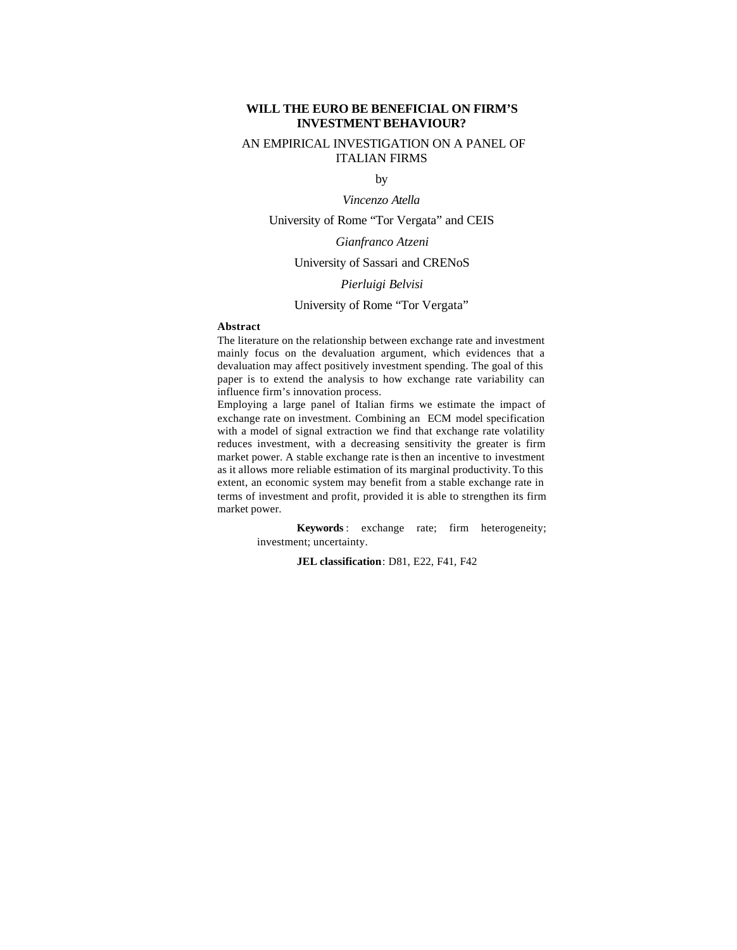# **WILL THE EURO BE BENEFICIAL ON FIRM'S INVESTMENT BEHAVIOUR?**

# AN EMPIRICAL INVESTIGATION ON A PANEL OF ITALIAN FIRMS

by

*Vincenzo Atella*

University of Rome "Tor Vergata" and CEIS

# *Gianfranco Atzeni*

#### University of Sassari and CRENoS

#### *Pierluigi Belvisi*

## University of Rome "Tor Vergata"

#### **Abstract**

The literature on the relationship between exchange rate and investment mainly focus on the devaluation argument, which evidences that a devaluation may affect positively investment spending. The goal of this paper is to extend the analysis to how exchange rate variability can influence firm's innovation process.

Employing a large panel of Italian firms we estimate the impact of exchange rate on investment. Combining an ECM model specification with a model of signal extraction we find that exchange rate volatility reduces investment, with a decreasing sensitivity the greater is firm market power. A stable exchange rate is then an incentive to investment as it allows more reliable estimation of its marginal productivity. To this extent, an economic system may benefit from a stable exchange rate in terms of investment and profit, provided it is able to strengthen its firm market power.

> **Keywords** : exchange rate; firm heterogeneity; investment; uncertainty.

> > **JEL classification**: D81, E22, F41, F42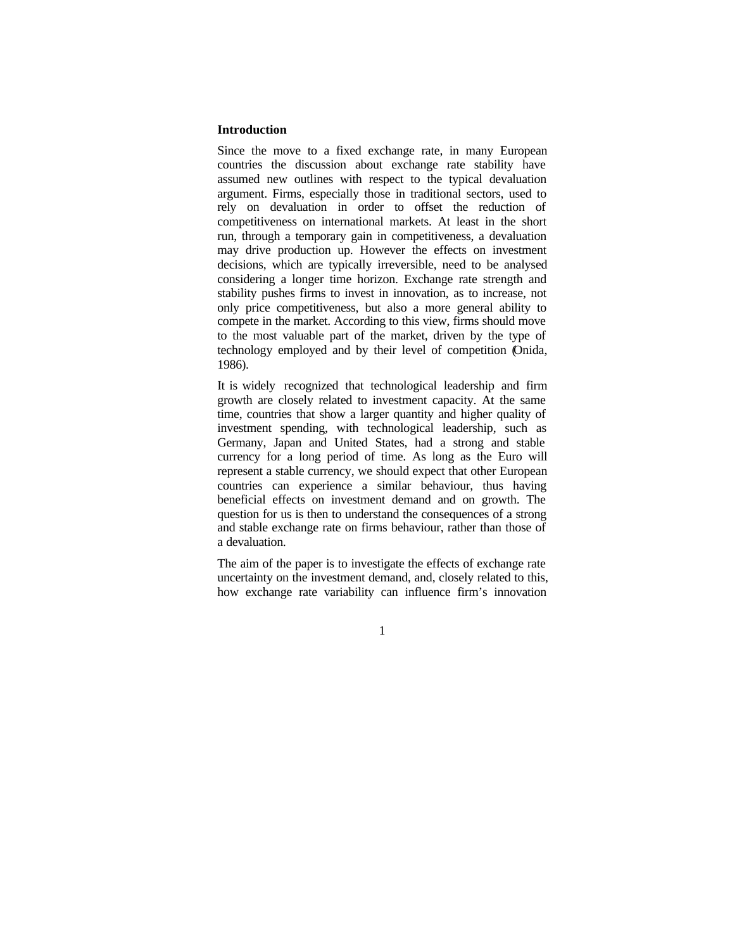# **Introduction**

Since the move to a fixed exchange rate, in many European countries the discussion about exchange rate stability have assumed new outlines with respect to the typical devaluation argument. Firms, especially those in traditional sectors, used to rely on devaluation in order to offset the reduction of competitiveness on international markets. At least in the short run, through a temporary gain in competitiveness, a devaluation may drive production up. However the effects on investment decisions, which are typically irreversible, need to be analysed considering a longer time horizon. Exchange rate strength and stability pushes firms to invest in innovation, as to increase, not only price competitiveness, but also a more general ability to compete in the market. According to this view, firms should move to the most valuable part of the market, driven by the type of technology employed and by their level of competition (Onida, 1986).

It is widely recognized that technological leadership and firm growth are closely related to investment capacity. At the same time, countries that show a larger quantity and higher quality of investment spending, with technological leadership, such as Germany, Japan and United States, had a strong and stable currency for a long period of time. As long as the Euro will represent a stable currency, we should expect that other European countries can experience a similar behaviour, thus having beneficial effects on investment demand and on growth. The question for us is then to understand the consequences of a strong and stable exchange rate on firms behaviour, rather than those of a devaluation.

The aim of the paper is to investigate the effects of exchange rate uncertainty on the investment demand, and, closely related to this, how exchange rate variability can influence firm's innovation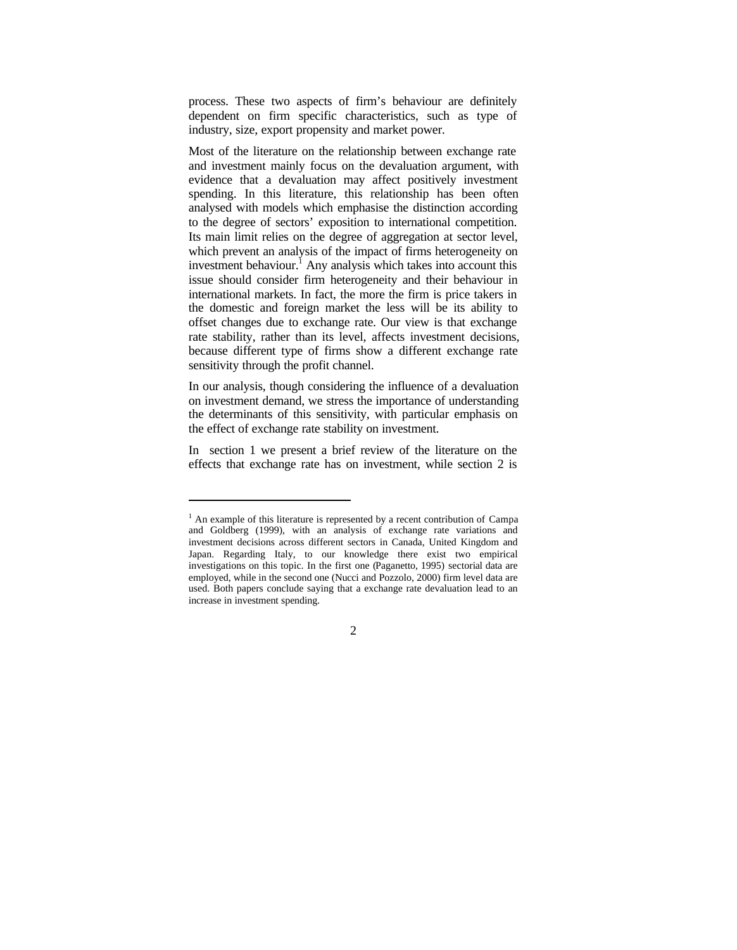process. These two aspects of firm's behaviour are definitely dependent on firm specific characteristics, such as type of industry, size, export propensity and market power.

Most of the literature on the relationship between exchange rate and investment mainly focus on the devaluation argument, with evidence that a devaluation may affect positively investment spending. In this literature, this relationship has been often analysed with models which emphasise the distinction according to the degree of sectors' exposition to international competition. Its main limit relies on the degree of aggregation at sector level, which prevent an analysis of the impact of firms heterogeneity on investment behaviour.<sup>1</sup> Any analysis which takes into account this issue should consider firm heterogeneity and their behaviour in international markets. In fact, the more the firm is price takers in the domestic and foreign market the less will be its ability to offset changes due to exchange rate. Our view is that exchange rate stability, rather than its level, affects investment decisions, because different type of firms show a different exchange rate sensitivity through the profit channel.

In our analysis, though considering the influence of a devaluation on investment demand, we stress the importance of understanding the determinants of this sensitivity, with particular emphasis on the effect of exchange rate stability on investment.

In section 1 we present a brief review of the literature on the effects that exchange rate has on investment, while section 2 is

l

 $<sup>1</sup>$  An example of this literature is represented by a recent contribution of Campa</sup> and Goldberg (1999), with an analysis of exchange rate variations and investment decisions across different sectors in Canada, United Kingdom and Japan. Regarding Italy, to our knowledge there exist two empirical investigations on this topic. In the first one (Paganetto, 1995) sectorial data are employed, while in the second one (Nucci and Pozzolo, 2000) firm level data are used. Both papers conclude saying that a exchange rate devaluation lead to an increase in investment spending.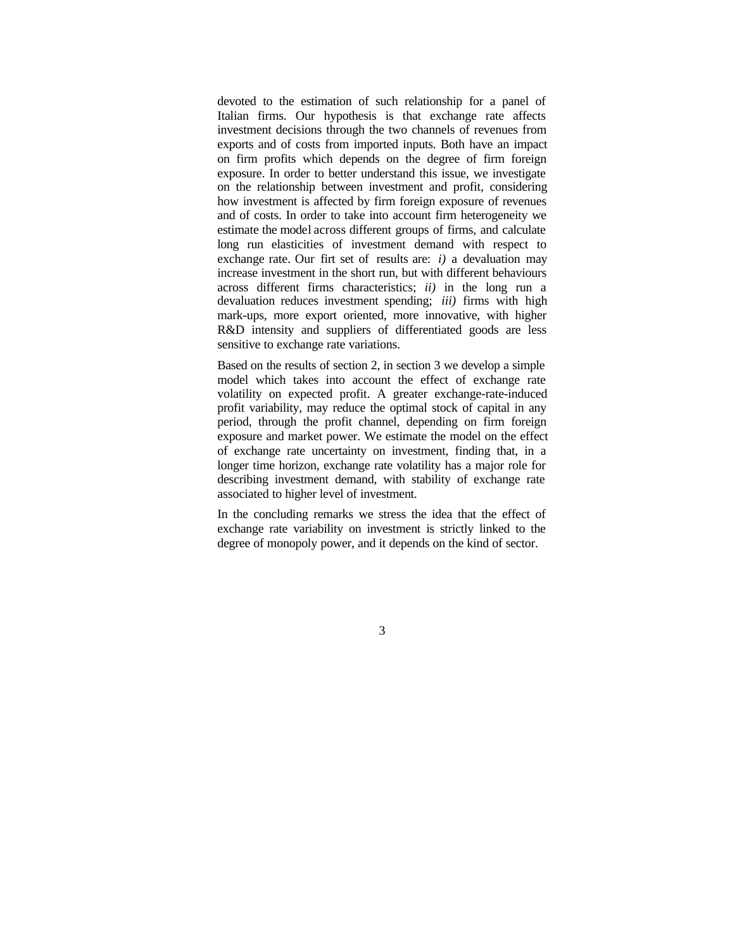devoted to the estimation of such relationship for a panel of Italian firms. Our hypothesis is that exchange rate affects investment decisions through the two channels of revenues from exports and of costs from imported inputs. Both have an impact on firm profits which depends on the degree of firm foreign exposure. In order to better understand this issue, we investigate on the relationship between investment and profit, considering how investment is affected by firm foreign exposure of revenues and of costs. In order to take into account firm heterogeneity we estimate the model across different groups of firms, and calculate long run elasticities of investment demand with respect to exchange rate. Our firt set of results are: *i)* a devaluation may increase investment in the short run, but with different behaviours across different firms characteristics; *ii)* in the long run a devaluation reduces investment spending; *iii)* firms with high mark-ups, more export oriented, more innovative, with higher R&D intensity and suppliers of differentiated goods are less sensitive to exchange rate variations.

Based on the results of section 2, in section 3 we develop a simple model which takes into account the effect of exchange rate volatility on expected profit. A greater exchange-rate-induced profit variability, may reduce the optimal stock of capital in any period, through the profit channel, depending on firm foreign exposure and market power. We estimate the model on the effect of exchange rate uncertainty on investment, finding that, in a longer time horizon, exchange rate volatility has a major role for describing investment demand, with stability of exchange rate associated to higher level of investment.

In the concluding remarks we stress the idea that the effect of exchange rate variability on investment is strictly linked to the degree of monopoly power, and it depends on the kind of sector.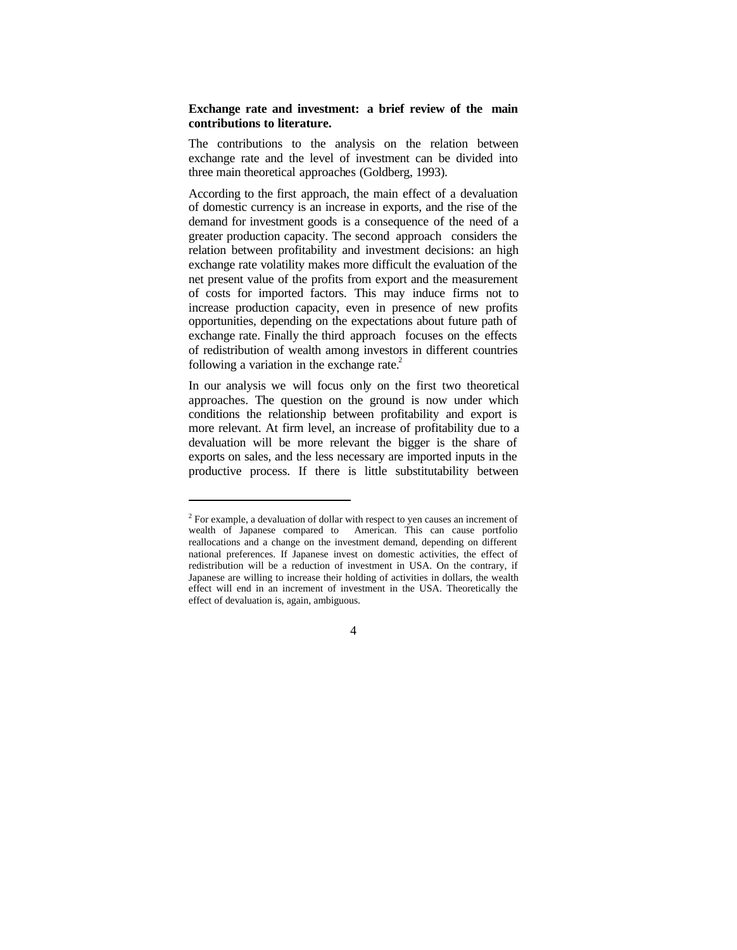# **Exchange rate and investment: a brief review of the main contributions to literature.**

The contributions to the analysis on the relation between exchange rate and the level of investment can be divided into three main theoretical approaches (Goldberg, 1993).

According to the first approach, the main effect of a devaluation of domestic currency is an increase in exports, and the rise of the demand for investment goods is a consequence of the need of a greater production capacity. The second approach considers the relation between profitability and investment decisions: an high exchange rate volatility makes more difficult the evaluation of the net present value of the profits from export and the measurement of costs for imported factors. This may induce firms not to increase production capacity, even in presence of new profits opportunities, depending on the expectations about future path of exchange rate. Finally the third approach focuses on the effects of redistribution of wealth among investors in different countries following a variation in the exchange rate. $^{2}$ 

In our analysis we will focus only on the first two theoretical approaches. The question on the ground is now under which conditions the relationship between profitability and export is more relevant. At firm level, an increase of profitability due to a devaluation will be more relevant the bigger is the share of exports on sales, and the less necessary are imported inputs in the productive process. If there is little substitutability between

l

 $2^2$  For example, a devaluation of dollar with respect to yen causes an increment of wealth of Japanese compared to American. This can cause portfolio reallocations and a change on the investment demand, depending on different national preferences. If Japanese invest on domestic activities, the effect of redistribution will be a reduction of investment in USA. On the contrary, if Japanese are willing to increase their holding of activities in dollars, the wealth effect will end in an increment of investment in the USA. Theoretically the effect of devaluation is, again, ambiguous.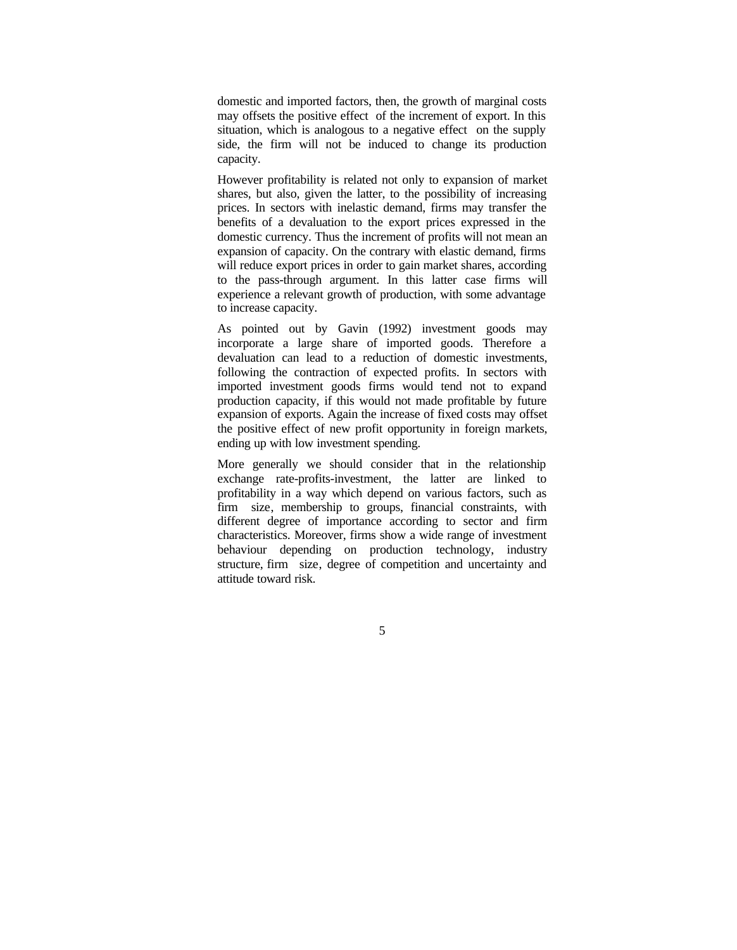domestic and imported factors, then, the growth of marginal costs may offsets the positive effect of the increment of export. In this situation, which is analogous to a negative effect on the supply side, the firm will not be induced to change its production capacity.

However profitability is related not only to expansion of market shares, but also, given the latter, to the possibility of increasing prices. In sectors with inelastic demand, firms may transfer the benefits of a devaluation to the export prices expressed in the domestic currency. Thus the increment of profits will not mean an expansion of capacity. On the contrary with elastic demand, firms will reduce export prices in order to gain market shares, according to the pass-through argument. In this latter case firms will experience a relevant growth of production, with some advantage to increase capacity.

As pointed out by Gavin (1992) investment goods may incorporate a large share of imported goods. Therefore a devaluation can lead to a reduction of domestic investments, following the contraction of expected profits. In sectors with imported investment goods firms would tend not to expand production capacity, if this would not made profitable by future expansion of exports. Again the increase of fixed costs may offset the positive effect of new profit opportunity in foreign markets, ending up with low investment spending.

More generally we should consider that in the relationship exchange rate-profits-investment, the latter are linked to profitability in a way which depend on various factors, such as firm size, membership to groups, financial constraints, with different degree of importance according to sector and firm characteristics. Moreover, firms show a wide range of investment behaviour depending on production technology, industry structure, firm size, degree of competition and uncertainty and attitude toward risk.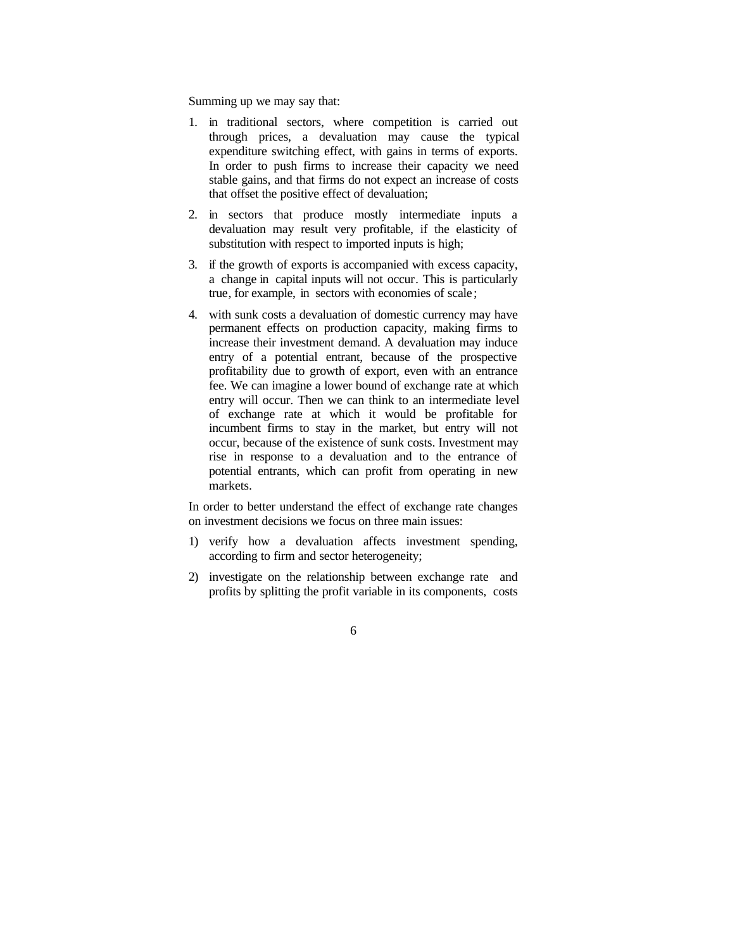Summing up we may say that:

- 1. in traditional sectors, where competition is carried out through prices, a devaluation may cause the typical expenditure switching effect, with gains in terms of exports. In order to push firms to increase their capacity we need stable gains, and that firms do not expect an increase of costs that offset the positive effect of devaluation;
- 2. in sectors that produce mostly intermediate inputs a devaluation may result very profitable, if the elasticity of substitution with respect to imported inputs is high;
- 3. if the growth of exports is accompanied with excess capacity, a change in capital inputs will not occur. This is particularly true, for example, in sectors with economies of scale ;
- 4. with sunk costs a devaluation of domestic currency may have permanent effects on production capacity, making firms to increase their investment demand. A devaluation may induce entry of a potential entrant, because of the prospective profitability due to growth of export, even with an entrance fee. We can imagine a lower bound of exchange rate at which entry will occur. Then we can think to an intermediate level of exchange rate at which it would be profitable for incumbent firms to stay in the market, but entry will not occur, because of the existence of sunk costs. Investment may rise in response to a devaluation and to the entrance of potential entrants, which can profit from operating in new markets.

In order to better understand the effect of exchange rate changes on investment decisions we focus on three main issues:

- 1) verify how a devaluation affects investment spending, according to firm and sector heterogeneity;
- 2) investigate on the relationship between exchange rate and profits by splitting the profit variable in its components, costs
	- 6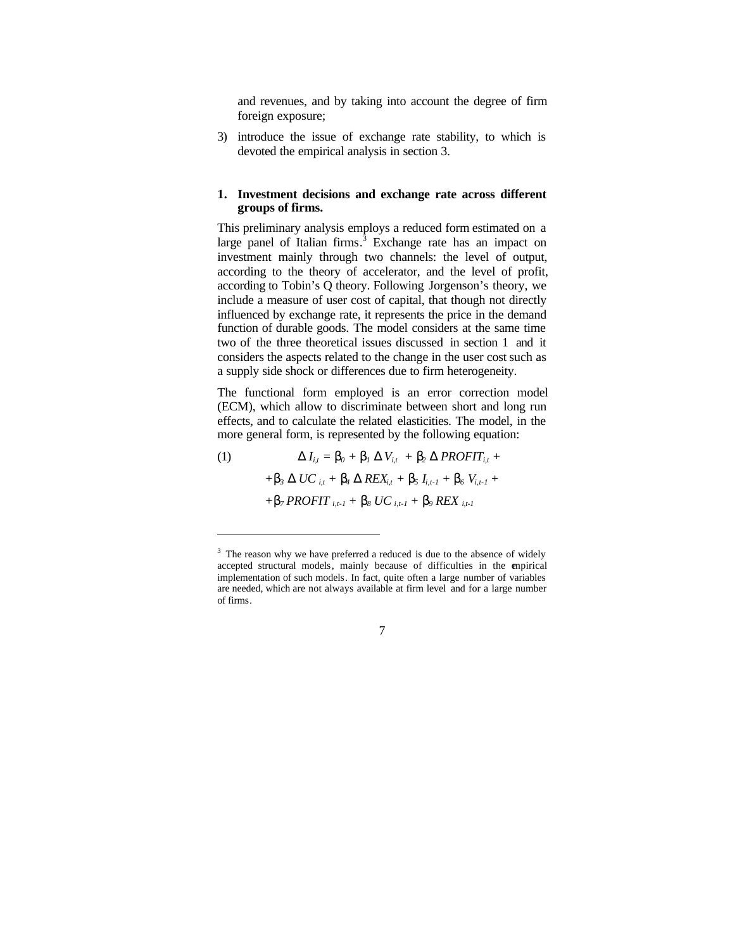and revenues, and by taking into account the degree of firm foreign exposure;

3) introduce the issue of exchange rate stability, to which is devoted the empirical analysis in section 3.

## **1. Investment decisions and exchange rate across different groups of firms.**

This preliminary analysis employs a reduced form estimated on a large panel of Italian firms.<sup>3</sup> Exchange rate has an impact on investment mainly through two channels: the level of output, according to the theory of accelerator, and the level of profit, according to Tobin's Q theory. Following Jorgenson's theory, we include a measure of user cost of capital, that though not directly influenced by exchange rate, it represents the price in the demand function of durable goods. The model considers at the same time two of the three theoretical issues discussed in section 1 and it considers the aspects related to the change in the user cost such as a supply side shock or differences due to firm heterogeneity.

The functional form employed is an error correction model (ECM), which allow to discriminate between short and long run effects, and to calculate the related elasticities. The model, in the more general form, is represented by the following equation:

(1)  $D I_{i,t} = D_0 + D_1 D V_{i,t} + D_2 D PROFIT_{i,t} + D_3 P$  $+$ *b*<sub>3</sub> *D UC it*</sub> + *b<sub>4</sub>**D REXit*<sub>*t*</sub> + *b<sub>5</sub></del> <i>I***<sub>***i,t-1***</sub> +** *b<sub>6</sub>**V<sub><i>i,t-1***</sub> +**  $+$ *b*<sub>7</sub>*PROFIT*  $i$ <sub>*i,t-1</sub>*  $+$ *b<sub>8</sub>***</del>** *UC* $i$ **<sub>***i,t-1</sub>* $+$ *<b><i>b<sub>9</sub>**REX*  $i$ <sub>*i,t-1*</sub></sub></sub>

l

 $3$  The reason why we have preferred a reduced is due to the absence of widely accepted structural models, mainly because of difficulties in the empirical implementation of such models. In fact, quite often a large number of variables are needed, which are not always available at firm level and for a large number of firms.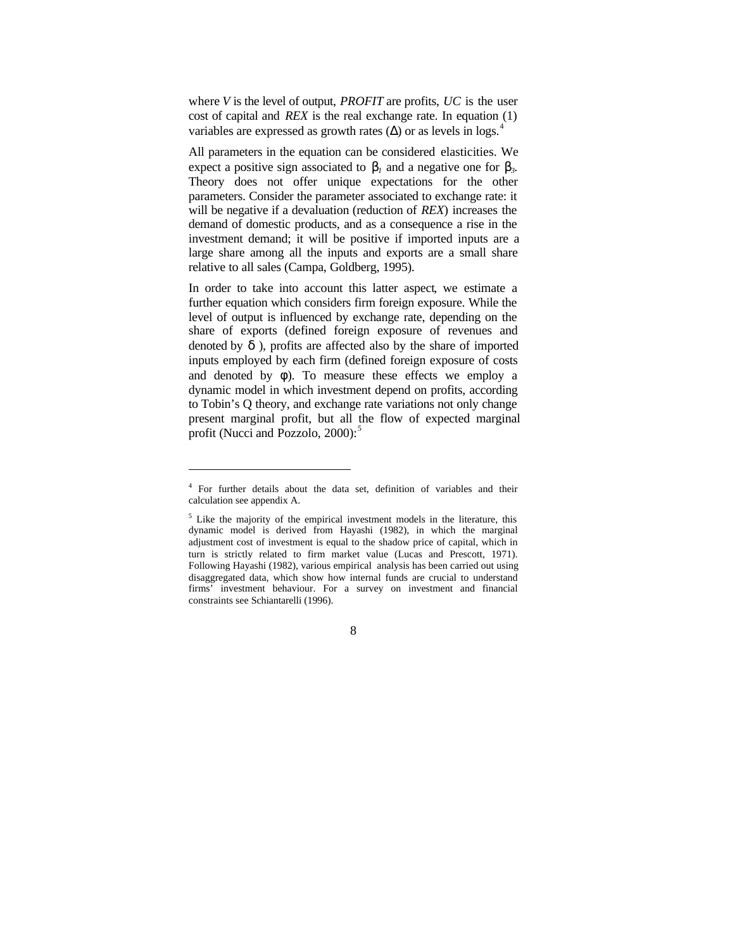where *V* is the level of output, *PROFIT* are profits, *UC* is the user cost of capital and *REX* is the real exchange rate. In equation (1) variables are expressed as growth rates ( $\Delta$ ) or as levels in logs.<sup>4</sup>

All parameters in the equation can be considered elasticities. We expect a positive sign associated to  $\mathbf{b}_1$  and a negative one for  $\mathbf{b}_3$ . Theory does not offer unique expectations for the other parameters. Consider the parameter associated to exchange rate: it will be negative if a devaluation (reduction of *REX*) increases the demand of domestic products, and as a consequence a rise in the investment demand; it will be positive if imported inputs are a large share among all the inputs and exports are a small share relative to all sales (Campa, Goldberg, 1995).

In order to take into account this latter aspect, we estimate a further equation which considers firm foreign exposure. While the level of output is influenced by exchange rate, depending on the share of exports (defined foreign exposure of revenues and denoted by *d* ), profits are affected also by the share of imported inputs employed by each firm (defined foreign exposure of costs and denoted by  $f$ ). To measure these effects we employ a dynamic model in which investment depend on profits, according to Tobin's Q theory, and exchange rate variations not only change present marginal profit, but all the flow of expected marginal profit (Nucci and Pozzolo,  $2000$ ):<sup>5</sup>

l

<sup>&</sup>lt;sup>4</sup> For further details about the data set, definition of variables and their calculation see appendix A.

<sup>&</sup>lt;sup>5</sup> Like the majority of the empirical investment models in the literature, this dynamic model is derived from Hayashi (1982), in which the marginal adjustment cost of investment is equal to the shadow price of capital, which in turn is strictly related to firm market value (Lucas and Prescott, 1971). Following Hayashi (1982), various empirical analysis has been carried out using disaggregated data, which show how internal funds are crucial to understand firms' investment behaviour. For a survey on investment and financial constraints see Schiantarelli (1996).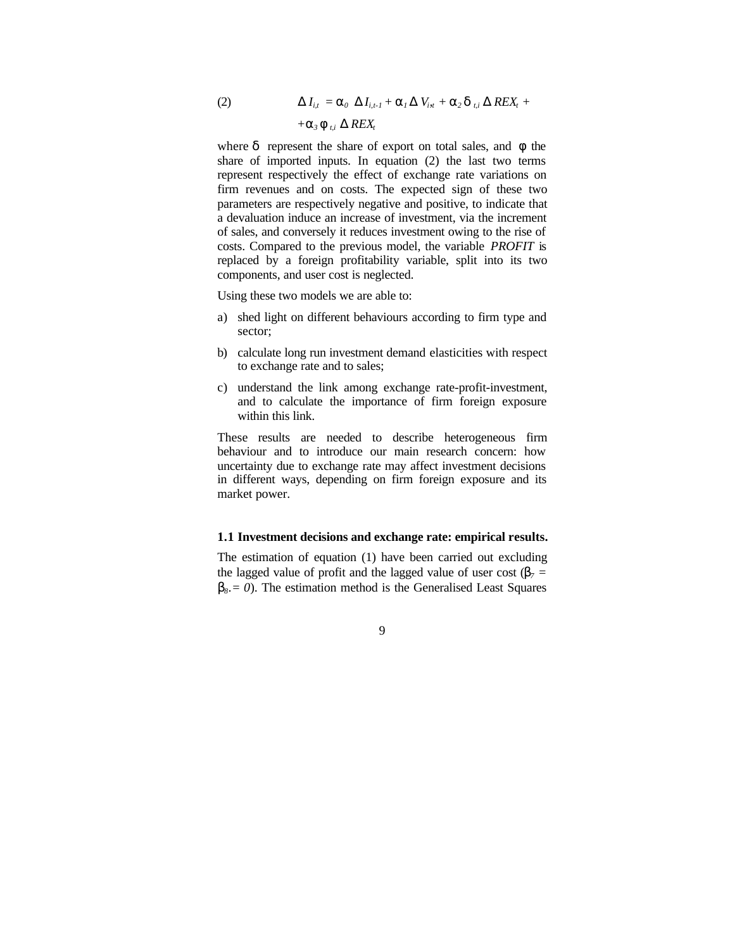(2)  $\bm{D} I_{i,t} = \bm{a}_0 \ \bm{D} I_{i,t-1} + \bm{a}_1 \bm{D} V_{i,t} + \bm{a}_2 \bm{d}_{t,i} \ \bm{D} R E X_t +$  $+ a_3 f_{ti} D REX_t$ 

where *d* represent the share of export on total sales, and *f* the share of imported inputs. In equation (2) the last two terms represent respectively the effect of exchange rate variations on firm revenues and on costs. The expected sign of these two parameters are respectively negative and positive, to indicate that a devaluation induce an increase of investment, via the increment of sales, and conversely it reduces investment owing to the rise of costs. Compared to the previous model, the variable *PROFIT* is replaced by a foreign profitability variable, split into its two components, and user cost is neglected.

Using these two models we are able to:

- a) shed light on different behaviours according to firm type and sector;
- b) calculate long run investment demand elasticities with respect to exchange rate and to sales;
- c) understand the link among exchange rate-profit-investment, and to calculate the importance of firm foreign exposure within this link.

These results are needed to describe heterogeneous firm behaviour and to introduce our main research concern: how uncertainty due to exchange rate may affect investment decisions in different ways, depending on firm foreign exposure and its market power.

# **1.1 Investment decisions and exchange rate: empirical results.**

The estimation of equation (1) have been carried out excluding the lagged value of profit and the lagged value of user cost ( $\mathbf{b}_7$  = **). The estimation method is the Generalised Least Squares**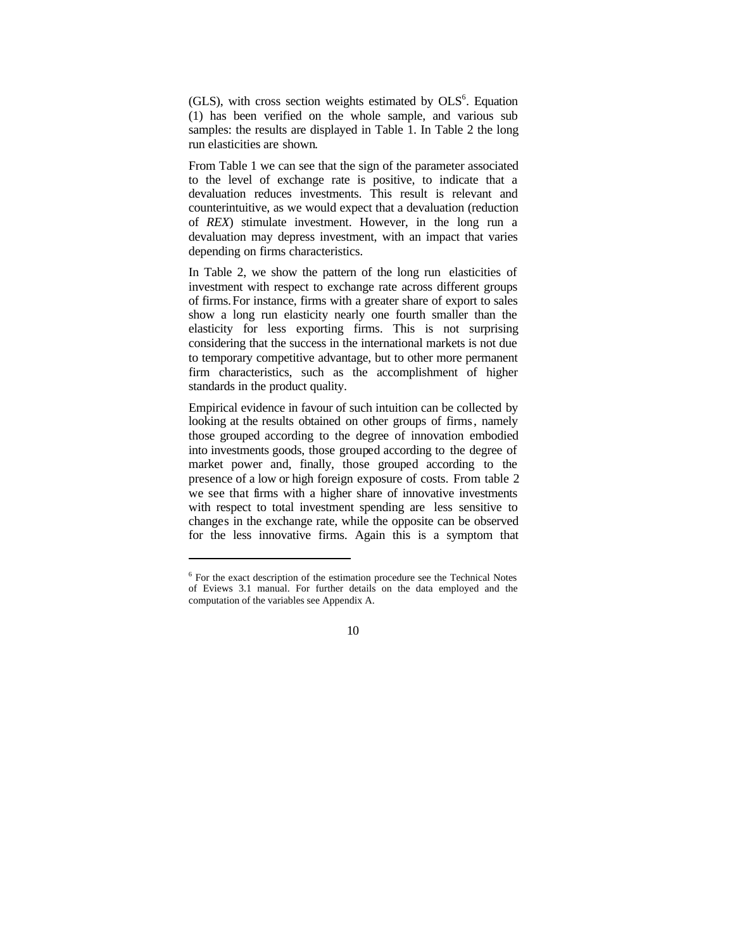(GLS), with cross section weights estimated by  $OLS<sup>6</sup>$ . Equation (1) has been verified on the whole sample, and various sub samples: the results are displayed in Table 1. In Table 2 the long run elasticities are shown.

From Table 1 we can see that the sign of the parameter associated to the level of exchange rate is positive, to indicate that a devaluation reduces investments. This result is relevant and counterintuitive, as we would expect that a devaluation (reduction of *REX*) stimulate investment. However, in the long run a devaluation may depress investment, with an impact that varies depending on firms characteristics.

In Table 2, we show the pattern of the long run elasticities of investment with respect to exchange rate across different groups of firms.For instance, firms with a greater share of export to sales show a long run elasticity nearly one fourth smaller than the elasticity for less exporting firms. This is not surprising considering that the success in the international markets is not due to temporary competitive advantage, but to other more permanent firm characteristics, such as the accomplishment of higher standards in the product quality.

Empirical evidence in favour of such intuition can be collected by looking at the results obtained on other groups of firms, namely those grouped according to the degree of innovation embodied into investments goods, those grouped according to the degree of market power and, finally, those grouped according to the presence of a low or high foreign exposure of costs. From table 2 we see that firms with a higher share of innovative investments with respect to total investment spending are less sensitive to changes in the exchange rate, while the opposite can be observed for the less innovative firms. Again this is a symptom that

l

<sup>&</sup>lt;sup>6</sup> For the exact description of the estimation procedure see the Technical Notes of Eviews 3.1 manual. For further details on the data employed and the computation of the variables see Appendix A.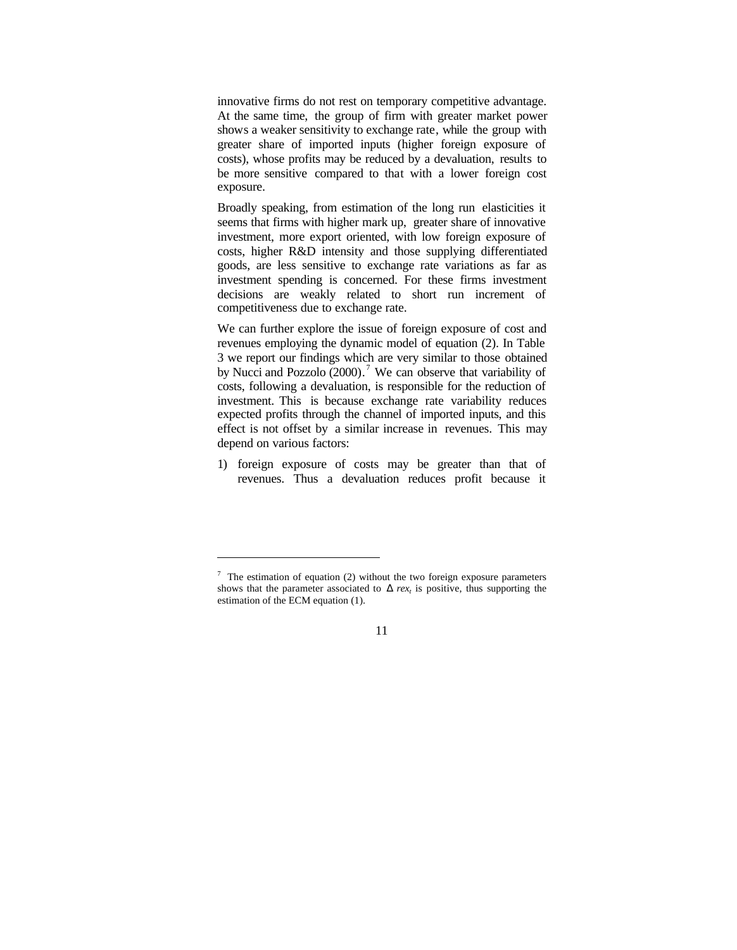innovative firms do not rest on temporary competitive advantage. At the same time, the group of firm with greater market power shows a weaker sensitivity to exchange rate, while the group with greater share of imported inputs (higher foreign exposure of costs), whose profits may be reduced by a devaluation, results to be more sensitive compared to that with a lower foreign cost exposure.

Broadly speaking, from estimation of the long run elasticities it seems that firms with higher mark up, greater share of innovative investment, more export oriented, with low foreign exposure of costs, higher R&D intensity and those supplying differentiated goods, are less sensitive to exchange rate variations as far as investment spending is concerned. For these firms investment decisions are weakly related to short run increment of competitiveness due to exchange rate.

We can further explore the issue of foreign exposure of cost and revenues employing the dynamic model of equation (2). In Table 3 we report our findings which are very similar to those obtained by Nucci and Pozzolo (2000).<sup>7</sup> We can observe that variability of costs, following a devaluation, is responsible for the reduction of investment. This is because exchange rate variability reduces expected profits through the channel of imported inputs, and this effect is not offset by a similar increase in revenues. This may depend on various factors:

1) foreign exposure of costs may be greater than that of revenues. Thus a devaluation reduces profit because it

l

 $\frac{7}{1}$  The estimation of equation (2) without the two foreign exposure parameters shows that the parameter associated to  $\boldsymbol{D}$  *rex<sub>t</sub>* is positive, thus supporting the estimation of the ECM equation (1).

<sup>11</sup>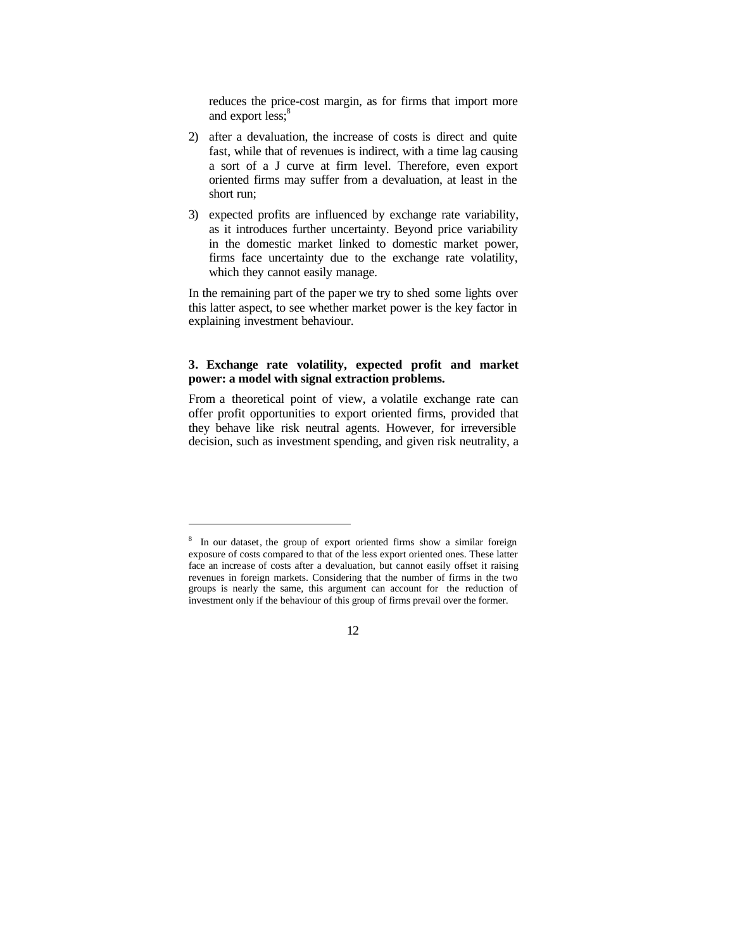reduces the price-cost margin, as for firms that import more and export less;<sup>8</sup>

- 2) after a devaluation, the increase of costs is direct and quite fast, while that of revenues is indirect, with a time lag causing a sort of a J curve at firm level. Therefore, even export oriented firms may suffer from a devaluation, at least in the short run;
- 3) expected profits are influenced by exchange rate variability, as it introduces further uncertainty. Beyond price variability in the domestic market linked to domestic market power, firms face uncertainty due to the exchange rate volatility, which they cannot easily manage.

In the remaining part of the paper we try to shed some lights over this latter aspect, to see whether market power is the key factor in explaining investment behaviour.

# **3. Exchange rate volatility, expected profit and market power: a model with signal extraction problems.**

From a theoretical point of view, a volatile exchange rate can offer profit opportunities to export oriented firms, provided that they behave like risk neutral agents. However, for irreversible decision, such as investment spending, and given risk neutrality, a

l

<sup>&</sup>lt;sup>8</sup> In our dataset, the group of export oriented firms show a similar foreign exposure of costs compared to that of the less export oriented ones. These latter face an increase of costs after a devaluation, but cannot easily offset it raising revenues in foreign markets. Considering that the number of firms in the two groups is nearly the same, this argument can account for the reduction of investment only if the behaviour of this group of firms prevail over the former.

<sup>12</sup>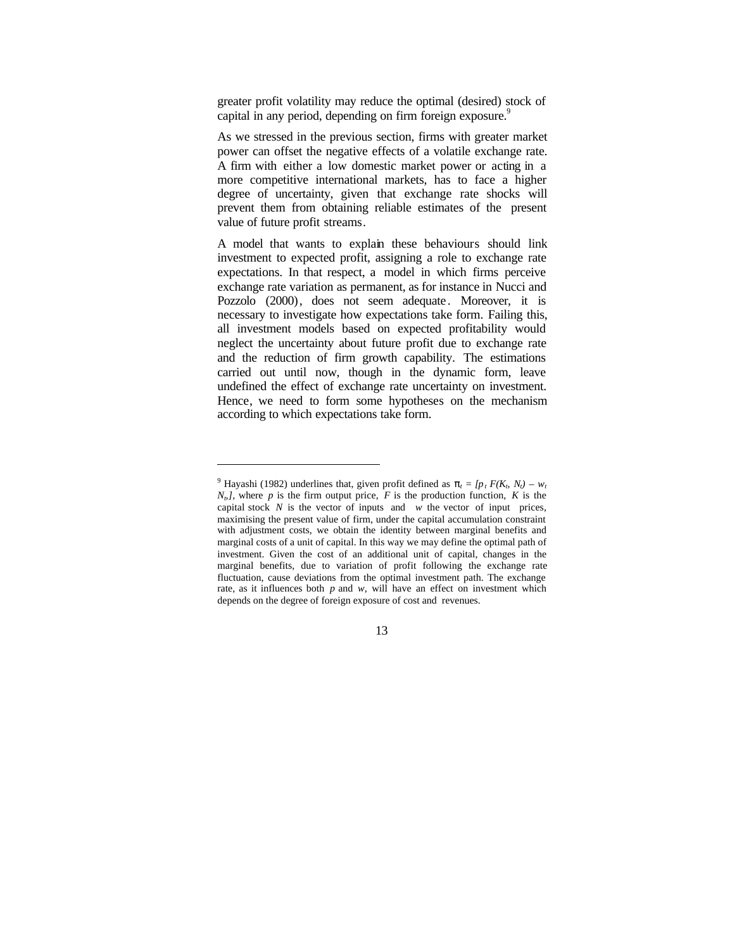greater profit volatility may reduce the optimal (desired) stock of capital in any period, depending on firm foreign exposure.<sup>9</sup>

As we stressed in the previous section, firms with greater market power can offset the negative effects of a volatile exchange rate. A firm with either a low domestic market power or acting in a more competitive international markets, has to face a higher degree of uncertainty, given that exchange rate shocks will prevent them from obtaining reliable estimates of the present value of future profit streams.

A model that wants to explain these behaviours should link investment to expected profit, assigning a role to exchange rate expectations. In that respect, a model in which firms perceive exchange rate variation as permanent, as for instance in Nucci and Pozzolo (2000), does not seem adequate. Moreover, it is necessary to investigate how expectations take form. Failing this, all investment models based on expected profitability would neglect the uncertainty about future profit due to exchange rate and the reduction of firm growth capability. The estimations carried out until now, though in the dynamic form, leave undefined the effect of exchange rate uncertainty on investment. Hence, we need to form some hypotheses on the mechanism according to which expectations take form.

l

<sup>&</sup>lt;sup>9</sup> Hayashi (1982) underlines that, given profit defined as  $p_t = [p_t F(K_b N_t) - w_t]$  $N<sub>b</sub>$ , where *p* is the firm output price, *F* is the production function, *K* is the capital stock  $N$  is the vector of inputs and  $w$  the vector of input prices, maximising the present value of firm, under the capital accumulation constraint with adjustment costs, we obtain the identity between marginal benefits and marginal costs of a unit of capital. In this way we may define the optimal path of investment. Given the cost of an additional unit of capital, changes in the marginal benefits, due to variation of profit following the exchange rate fluctuation, cause deviations from the optimal investment path. The exchange rate, as it influences both  $p$  and  $w$ , will have an effect on investment which depends on the degree of foreign exposure of cost and revenues.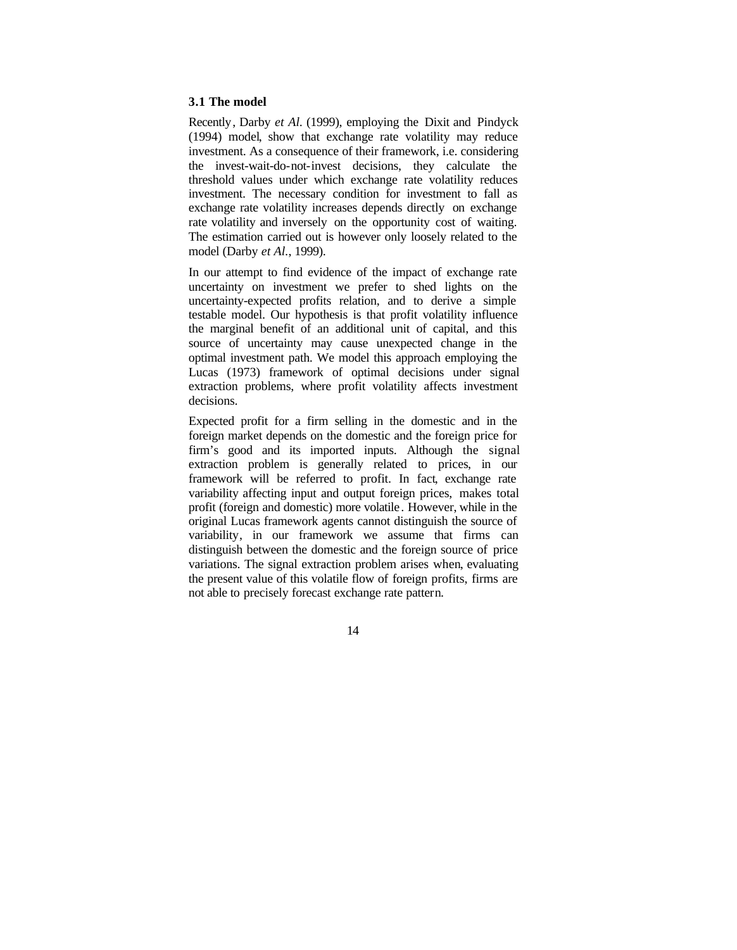## **3.1 The model**

Recently, Darby *et Al.* (1999), employing the Dixit and Pindyck (1994) model, show that exchange rate volatility may reduce investment. As a consequence of their framework, i.e. considering the invest-wait-do-not-invest decisions, they calculate the threshold values under which exchange rate volatility reduces investment. The necessary condition for investment to fall as exchange rate volatility increases depends directly on exchange rate volatility and inversely on the opportunity cost of waiting. The estimation carried out is however only loosely related to the model (Darby *et Al.*, 1999).

In our attempt to find evidence of the impact of exchange rate uncertainty on investment we prefer to shed lights on the uncertainty-expected profits relation, and to derive a simple testable model. Our hypothesis is that profit volatility influence the marginal benefit of an additional unit of capital, and this source of uncertainty may cause unexpected change in the optimal investment path. We model this approach employing the Lucas (1973) framework of optimal decisions under signal extraction problems, where profit volatility affects investment decisions.

Expected profit for a firm selling in the domestic and in the foreign market depends on the domestic and the foreign price for firm's good and its imported inputs. Although the signal extraction problem is generally related to prices, in our framework will be referred to profit. In fact, exchange rate variability affecting input and output foreign prices, makes total profit (foreign and domestic) more volatile. However, while in the original Lucas framework agents cannot distinguish the source of variability, in our framework we assume that firms can distinguish between the domestic and the foreign source of price variations. The signal extraction problem arises when, evaluating the present value of this volatile flow of foreign profits, firms are not able to precisely forecast exchange rate pattern.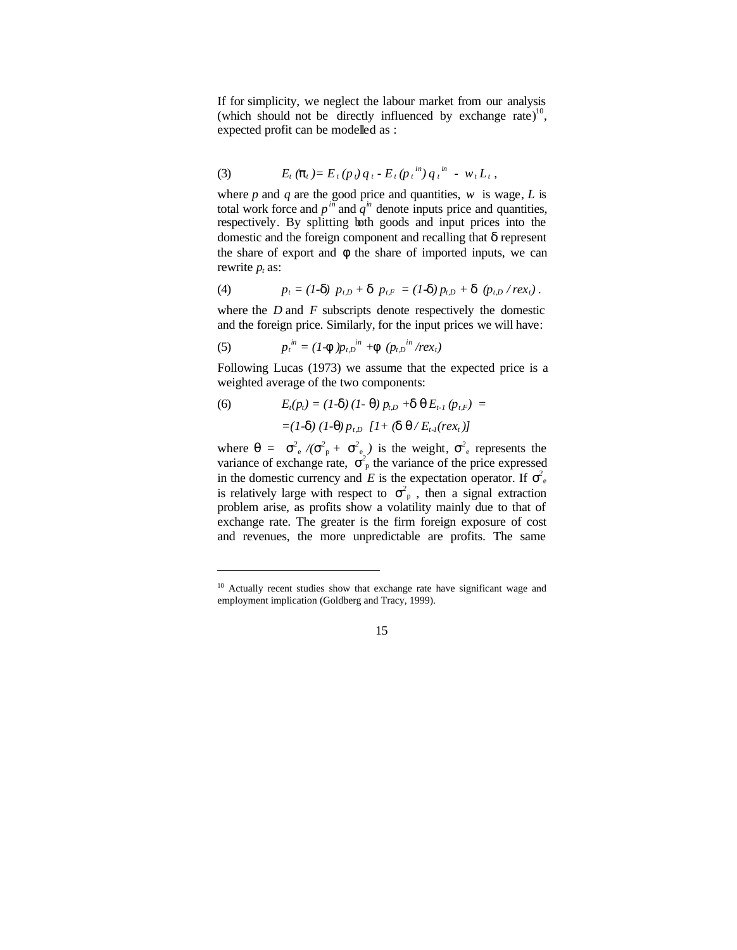If for simplicity, we neglect the labour market from our analysis (which should not be directly influenced by exchange rate)<sup>10</sup>, expected profit can be modelled as :

(3) 
$$
E_t(\mathbf{p}_t) = E_t(p_t) q_t - E_t(p_t^{in}) q_t^{in} - w_t L_t,
$$

where  $p$  and  $q$  are the good price and quantities,  $w$  is wage,  $L$  is total work force and  $p^{in}$  and  $q^{in}$  denote inputs price and quantities, respectively. By splitting both goods and input prices into the domestic and the foreign component and recalling that *d* represent the share of export and  $f$  the share of imported inputs, we can rewrite  $p_t$  as:

(4) 
$$
p_t = (I - d) p_{t,D} + d p_{t,F} = (I - d) p_{t,D} + d (p_{t,D} / rex_t).
$$

where the *D* and *F* subscripts denote respectively the domestic and the foreign price. Similarly, for the input prices we will have:

(5) 
$$
p_t^{in} = (1 - \mathbf{f})p_{t,D}^{in} + \mathbf{f}(p_{t,D}^{in}/rex_t)
$$

l

Following Lucas (1973) we assume that the expected price is a weighted average of the two components:

(6) 
$$
E_t(p_t) = (1-\mathbf{d}) (1-\mathbf{q}) p_{t,D} + \mathbf{d} \mathbf{q} E_{t-1} (p_{t,F}) =
$$

$$
= (1-\mathbf{d}) (1-\mathbf{q}) p_{t,D} [1+(\mathbf{d} \mathbf{q}/E_{t-1}(rex_t))]
$$

where  $q = s^2 e/(s^2 p + s^2 e)$  is the weight,  $s^2 e$  represents the variance of exchange rate,  $s^2$ <sub>p</sub> the variance of the price expressed in the domestic currency and *E* is the expectation operator. If  $s^2$ is relatively large with respect to  $s<sup>2</sup>$ <sub>p</sub>, then a signal extraction problem arise, as profits show a volatility mainly due to that of exchange rate. The greater is the firm foreign exposure of cost and revenues, the more unpredictable are profits. The same

<sup>&</sup>lt;sup>10</sup> Actually recent studies show that exchange rate have significant wage and employment implication (Goldberg and Tracy, 1999).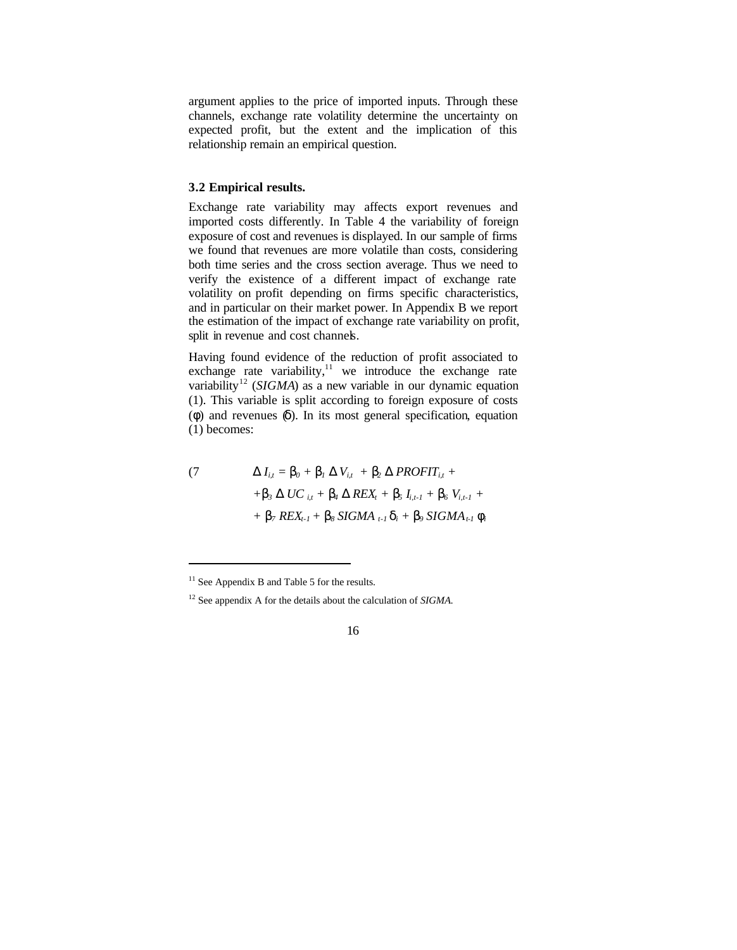argument applies to the price of imported inputs. Through these channels, exchange rate volatility determine the uncertainty on expected profit, but the extent and the implication of this relationship remain an empirical question.

# **3.2 Empirical results.**

Exchange rate variability may affects export revenues and imported costs differently. In Table 4 the variability of foreign exposure of cost and revenues is displayed. In our sample of firms we found that revenues are more volatile than costs, considering both time series and the cross section average. Thus we need to verify the existence of a different impact of exchange rate volatility on profit depending on firms specific characteristics, and in particular on their market power. In Appendix B we report the estimation of the impact of exchange rate variability on profit, split in revenue and cost channels.

Having found evidence of the reduction of profit associated to exchange rate variability, $11$  we introduce the exchange rate variability<sup>12</sup> (*SIGMA*) as a new variable in our dynamic equation (1). This variable is split according to foreign exposure of costs (*f*) and revenues (*d*). In its most general specification, equation (1) becomes:

$$
(7 \t\t\t\tD Ii,t = b0 + b1 D Vi,t + b2 D PROFITi,t ++ b3 D UCi,t + b4 D REXt + b5 Ii,t-1 + b6 Vi,t-1 ++ b7 REXt-1 + b8 SIGMAt-1 di + b9 SIGMAt-1 fi
$$

l

 $11$  See Appendix B and Table 5 for the results.

<sup>12</sup> See appendix A for the details about the calculation of *SIGMA.*

<sup>16</sup>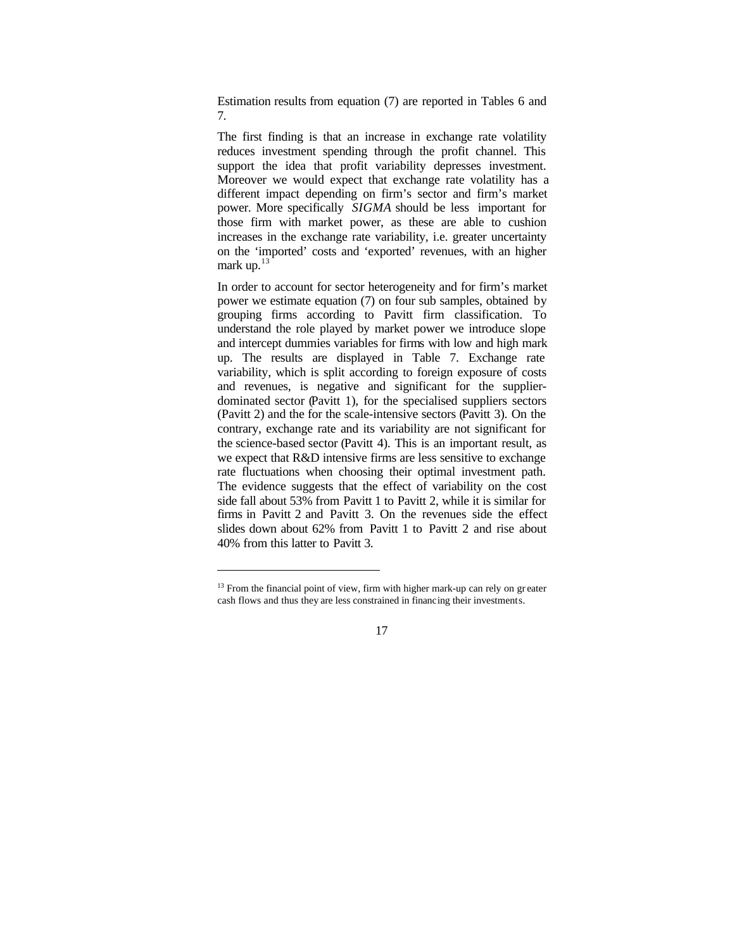Estimation results from equation (7) are reported in Tables 6 and 7.

The first finding is that an increase in exchange rate volatility reduces investment spending through the profit channel. This support the idea that profit variability depresses investment. Moreover we would expect that exchange rate volatility has a different impact depending on firm's sector and firm's market power. More specifically *SIGMA* should be less important for those firm with market power, as these are able to cushion increases in the exchange rate variability, i.e. greater uncertainty on the 'imported' costs and 'exported' revenues, with an higher mark up. $13$ 

In order to account for sector heterogeneity and for firm's market power we estimate equation (7) on four sub samples, obtained by grouping firms according to Pavitt firm classification. To understand the role played by market power we introduce slope and intercept dummies variables for firms with low and high mark up. The results are displayed in Table 7. Exchange rate variability, which is split according to foreign exposure of costs and revenues, is negative and significant for the supplierdominated sector (Pavitt 1), for the specialised suppliers sectors (Pavitt 2) and the for the scale-intensive sectors (Pavitt 3). On the contrary, exchange rate and its variability are not significant for the science-based sector (Pavitt 4). This is an important result, as we expect that R&D intensive firms are less sensitive to exchange rate fluctuations when choosing their optimal investment path. The evidence suggests that the effect of variability on the cost side fall about 53% from Pavitt 1 to Pavitt 2, while it is similar for firms in Pavitt 2 and Pavitt 3. On the revenues side the effect slides down about 62% from Pavitt 1 to Pavitt 2 and rise about 40% from this latter to Pavitt 3.

l

 $13$  From the financial point of view, firm with higher mark-up can rely on greater cash flows and thus they are less constrained in financing their investments.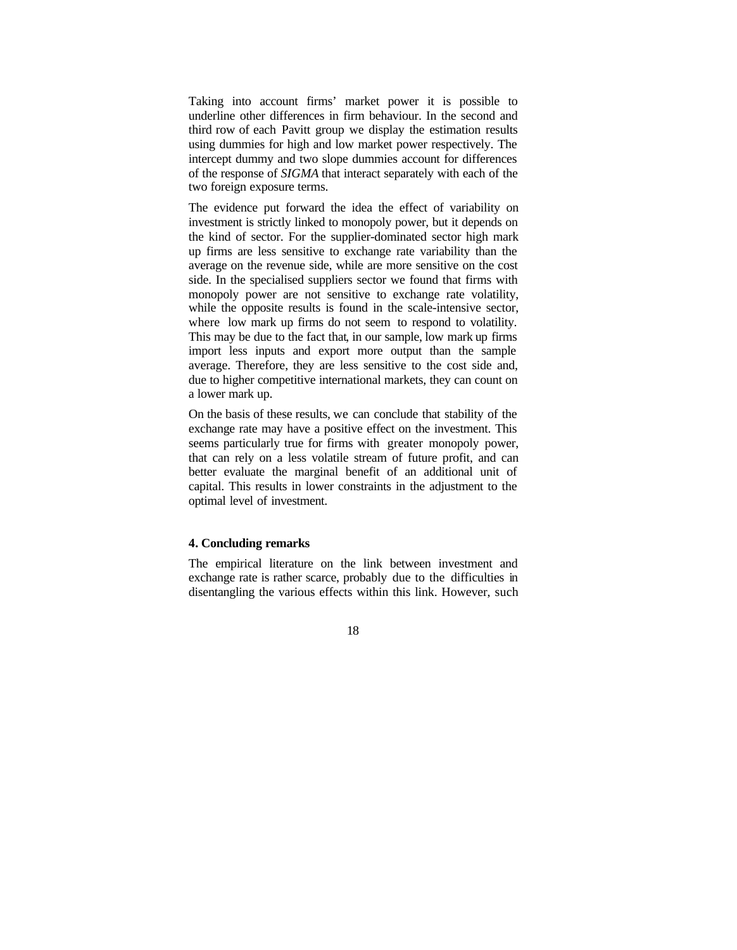Taking into account firms' market power it is possible to underline other differences in firm behaviour. In the second and third row of each Pavitt group we display the estimation results using dummies for high and low market power respectively. The intercept dummy and two slope dummies account for differences of the response of *SIGMA* that interact separately with each of the two foreign exposure terms.

The evidence put forward the idea the effect of variability on investment is strictly linked to monopoly power, but it depends on the kind of sector. For the supplier-dominated sector high mark up firms are less sensitive to exchange rate variability than the average on the revenue side, while are more sensitive on the cost side. In the specialised suppliers sector we found that firms with monopoly power are not sensitive to exchange rate volatility, while the opposite results is found in the scale-intensive sector, where low mark up firms do not seem to respond to volatility. This may be due to the fact that, in our sample, low mark up firms import less inputs and export more output than the sample average. Therefore, they are less sensitive to the cost side and, due to higher competitive international markets, they can count on a lower mark up.

On the basis of these results, we can conclude that stability of the exchange rate may have a positive effect on the investment. This seems particularly true for firms with greater monopoly power, that can rely on a less volatile stream of future profit, and can better evaluate the marginal benefit of an additional unit of capital. This results in lower constraints in the adjustment to the optimal level of investment.

# **4. Concluding remarks**

The empirical literature on the link between investment and exchange rate is rather scarce, probably due to the difficulties in disentangling the various effects within this link. However, such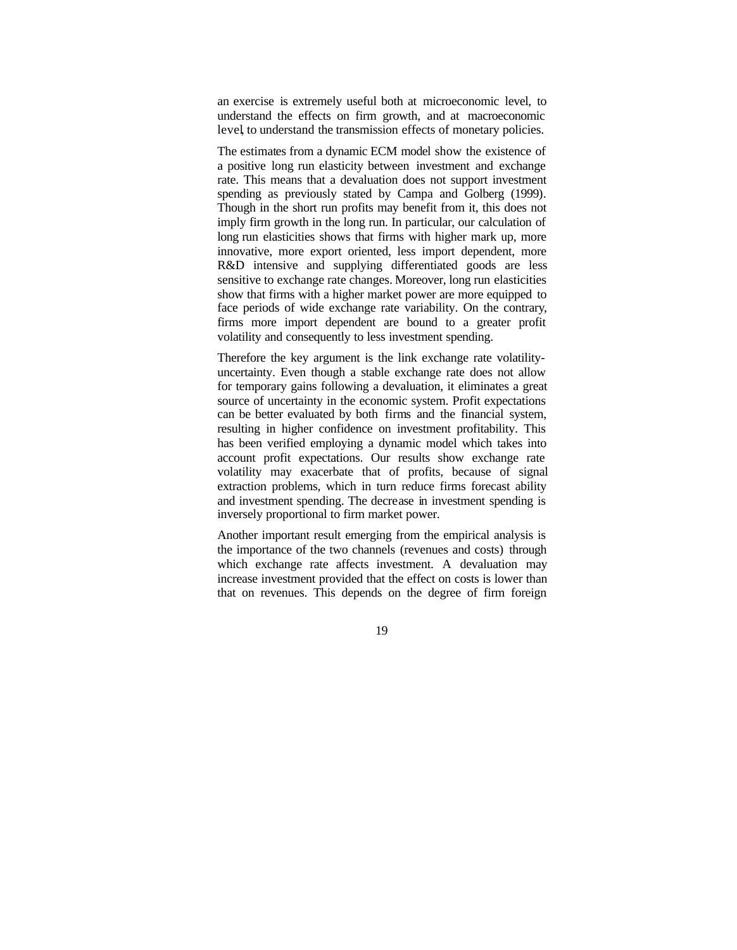an exercise is extremely useful both at microeconomic level, to understand the effects on firm growth, and at macroeconomic level, to understand the transmission effects of monetary policies.

The estimates from a dynamic ECM model show the existence of a positive long run elasticity between investment and exchange rate. This means that a devaluation does not support investment spending as previously stated by Campa and Golberg (1999). Though in the short run profits may benefit from it, this does not imply firm growth in the long run. In particular, our calculation of long run elasticities shows that firms with higher mark up, more innovative, more export oriented, less import dependent, more R&D intensive and supplying differentiated goods are less sensitive to exchange rate changes. Moreover, long run elasticities show that firms with a higher market power are more equipped to face periods of wide exchange rate variability. On the contrary, firms more import dependent are bound to a greater profit volatility and consequently to less investment spending.

Therefore the key argument is the link exchange rate volatilityuncertainty. Even though a stable exchange rate does not allow for temporary gains following a devaluation, it eliminates a great source of uncertainty in the economic system. Profit expectations can be better evaluated by both firms and the financial system, resulting in higher confidence on investment profitability. This has been verified employing a dynamic model which takes into account profit expectations. Our results show exchange rate volatility may exacerbate that of profits, because of signal extraction problems, which in turn reduce firms forecast ability and investment spending. The decrease in investment spending is inversely proportional to firm market power.

Another important result emerging from the empirical analysis is the importance of the two channels (revenues and costs) through which exchange rate affects investment. A devaluation may increase investment provided that the effect on costs is lower than that on revenues. This depends on the degree of firm foreign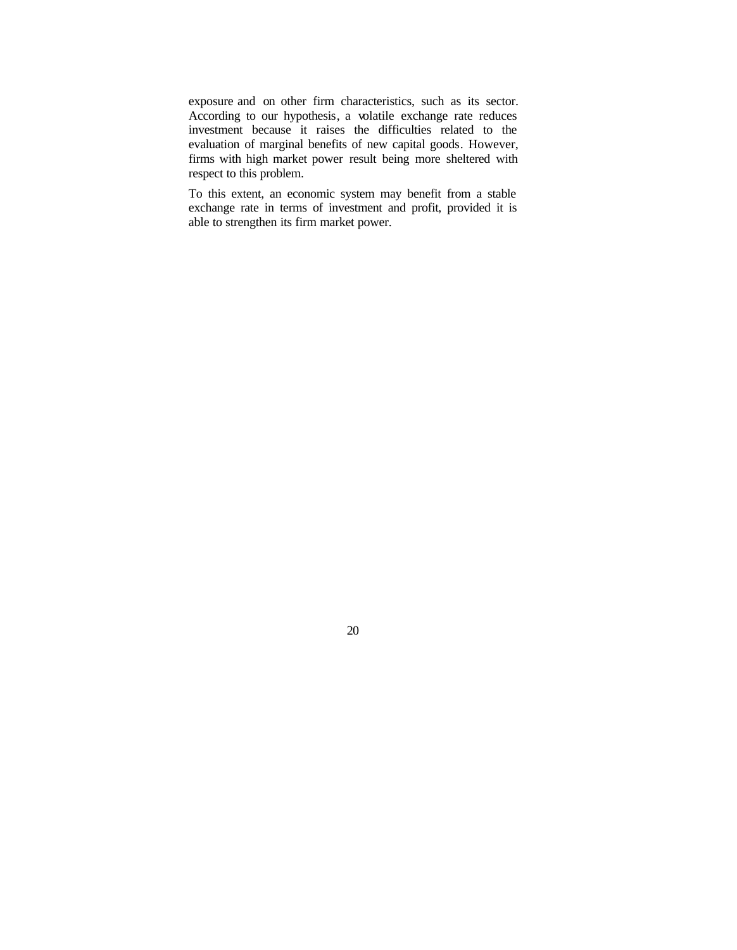exposure and on other firm characteristics, such as its sector. According to our hypothesis, a volatile exchange rate reduces investment because it raises the difficulties related to the evaluation of marginal benefits of new capital goods. However, firms with high market power result being more sheltered with respect to this problem.

To this extent, an economic system may benefit from a stable exchange rate in terms of investment and profit, provided it is able to strengthen its firm market power.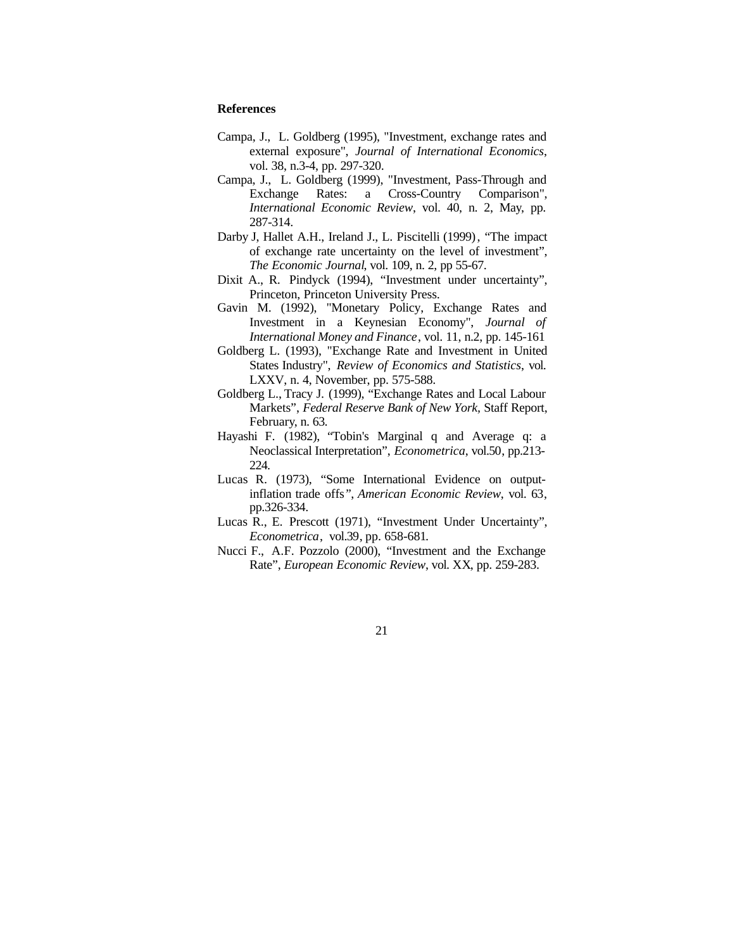# **References**

- Campa, J., L. Goldberg (1995), "Investment, exchange rates and external exposure", *Journal of International Economics*, vol. 38, n.3-4, pp. 297-320.
- Campa, J., L. Goldberg (1999), "Investment, Pass-Through and Exchange Rates: a Cross-Country Comparison", *International Economic Review*, vol. 40, n. 2, May, pp. 287-314.
- Darby J, Hallet A.H., Ireland J., L. Piscitelli (1999), "The impact of exchange rate uncertainty on the level of investment", *The Economic Journal*, vol. 109, n. 2, pp 55-67.
- Dixit A., R. Pindyck (1994), "Investment under uncertainty", Princeton, Princeton University Press.
- Gavin M. (1992), "Monetary Policy, Exchange Rates and Investment in a Keynesian Economy", *Journal of International Money and Finance*, vol. 11, n.2, pp. 145-161
- Goldberg L. (1993), "Exchange Rate and Investment in United States Industry", *Review of Economics and Statistics*, vol. LXXV, n. 4, November, pp. 575-588.
- Goldberg L., Tracy J. (1999), "Exchange Rates and Local Labour Markets", *Federal Reserve Bank of New York,* Staff Report, February, n. 63.
- Hayashi F. (1982), "Tobin's Marginal q and Average q: a Neoclassical Interpretation", *Econometrica*, vol.50, pp.213- 224.
- Lucas R. (1973), "Some International Evidence on outputinflation trade offs*"*, *American Economic Review*, vol. 63, pp.326-334.
- Lucas R., E. Prescott (1971), "Investment Under Uncertainty", *Econometrica*, vol.39, pp. 658-681.
- Nucci F., A.F. Pozzolo (2000), "Investment and the Exchange Rate", *European Economic Review*, vol. XX, pp. 259-283.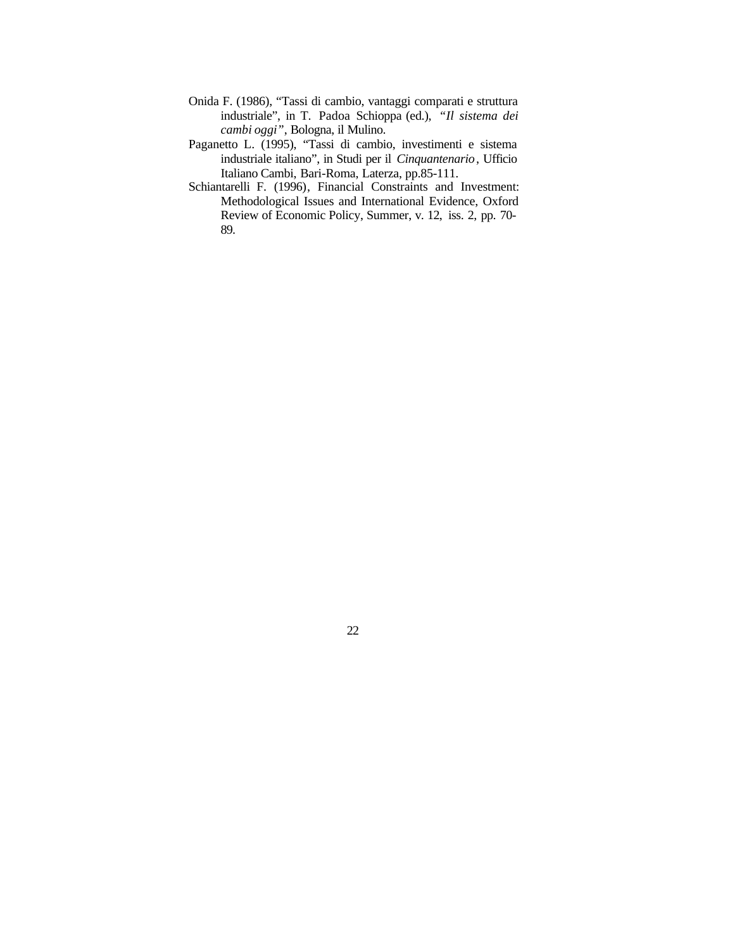- Onida F. (1986), "Tassi di cambio, vantaggi comparati e struttura industriale", in T. Padoa Schioppa (ed.), *"Il sistema dei cambi oggi"*, Bologna, il Mulino.
- Paganetto L. (1995), "Tassi di cambio, investimenti e sistema industriale italiano", in Studi per il *Cinquantenario*, Ufficio Italiano Cambi, Bari-Roma, Laterza, pp.85-111.
- Schiantarelli F. (1996), Financial Constraints and Investment: Methodological Issues and International Evidence, Oxford Review of Economic Policy, Summer, v. 12, iss. 2, pp. 70- 89.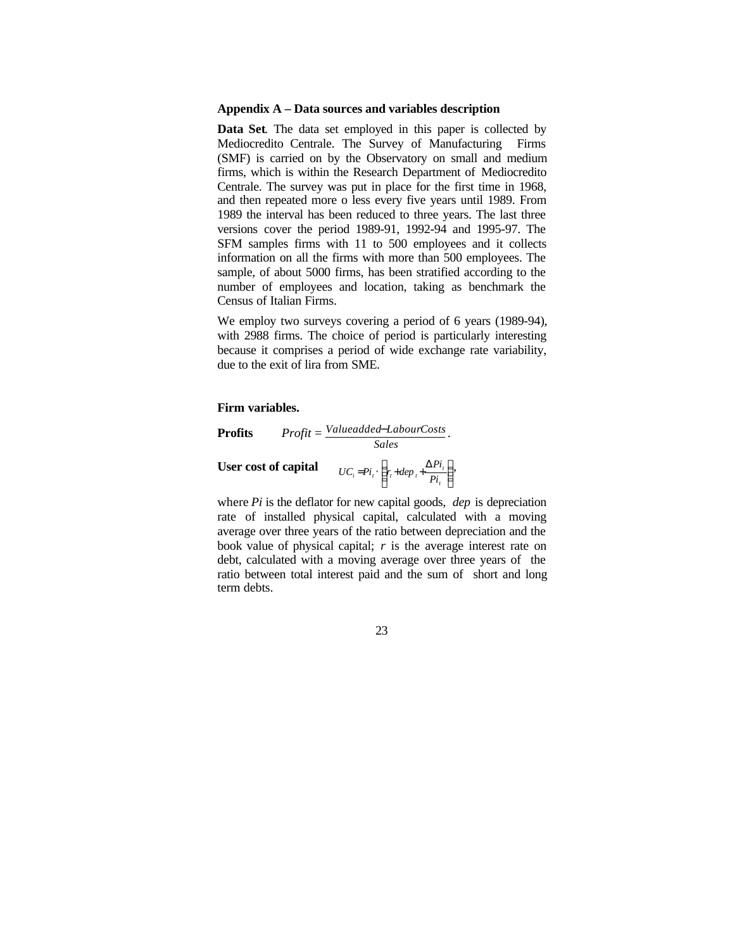# **Appendix A – Data sources and variables description**

**Data Set**. The data set employed in this paper is collected by Mediocredito Centrale. The Survey of Manufacturing Firms (SMF) is carried on by the Observatory on small and medium firms, which is within the Research Department of Mediocredito Centrale. The survey was put in place for the first time in 1968, and then repeated more o less every five years until 1989. From 1989 the interval has been reduced to three years. The last three versions cover the period 1989-91, 1992-94 and 1995-97. The SFM samples firms with 11 to 500 employees and it collects information on all the firms with more than 500 employees. The sample, of about 5000 firms, has been stratified according to the number of employees and location, taking as benchmark the Census of Italian Firms.

We employ two surveys covering a period of 6 years (1989-94), with 2988 firms. The choice of period is particularly interesting because it comprises a period of wide exchange rate variability, due to the exit of lira from SME.

#### **Firm variables.**



where *Pi* is the deflator for new capital goods, *dep* is depreciation rate of installed physical capital, calculated with a moving average over three years of the ratio between depreciation and the book value of physical capital; *r* is the average interest rate on debt, calculated with a moving average over three years of the ratio between total interest paid and the sum of short and long term debts.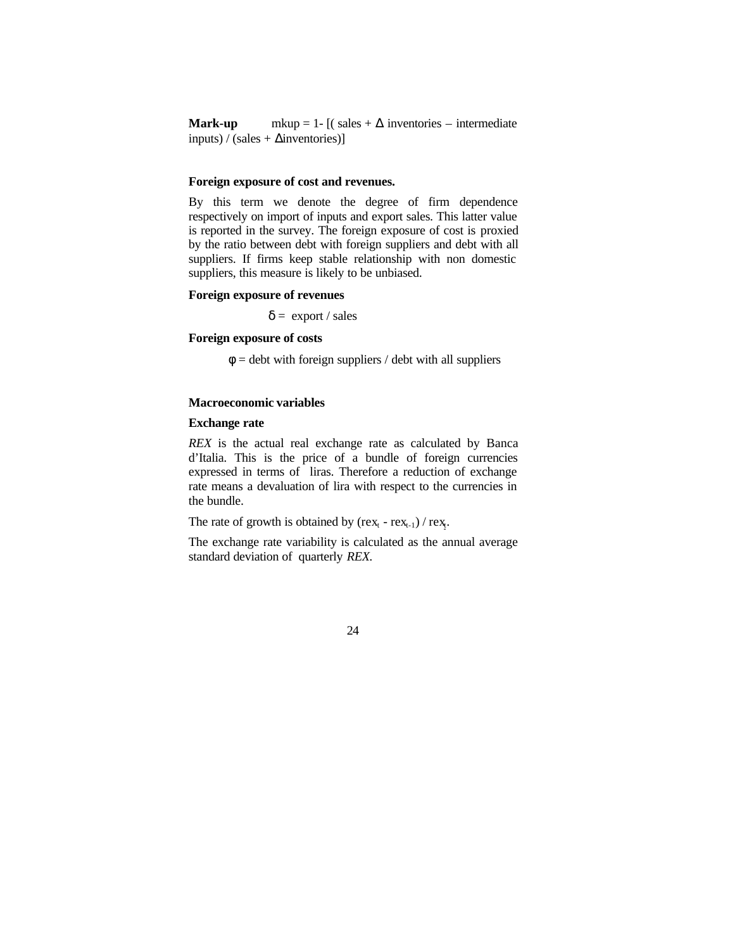**Mark-up** mkup = 1-  $[(\text{ sales} + \Delta \text{ inventories} - \text{intermediate}])$  $inputs$  / (sales +  $\Delta$ inventories)]

## **Foreign exposure of cost and revenues.**

By this term we denote the degree of firm dependence respectively on import of inputs and export sales. This latter value is reported in the survey. The foreign exposure of cost is proxied by the ratio between debt with foreign suppliers and debt with all suppliers. If firms keep stable relationship with non domestic suppliers, this measure is likely to be unbiased.

## **Foreign exposure of revenues**

 $\delta$  = export / sales

# **Foreign exposure of costs**

 $\phi$  = debt with foreign suppliers / debt with all suppliers

# **Macroeconomic variables**

# **Exchange rate**

*REX* is the actual real exchange rate as calculated by Banca d'Italia. This is the price of a bundle of foreign currencies expressed in terms of liras. Therefore a reduction of exchange rate means a devaluation of lira with respect to the currencies in the bundle.

The rate of growth is obtained by  $(rex_t - rex_{t-1})$  /  $rex_t$ .

The exchange rate variability is calculated as the annual average standard deviation of quarterly *REX.*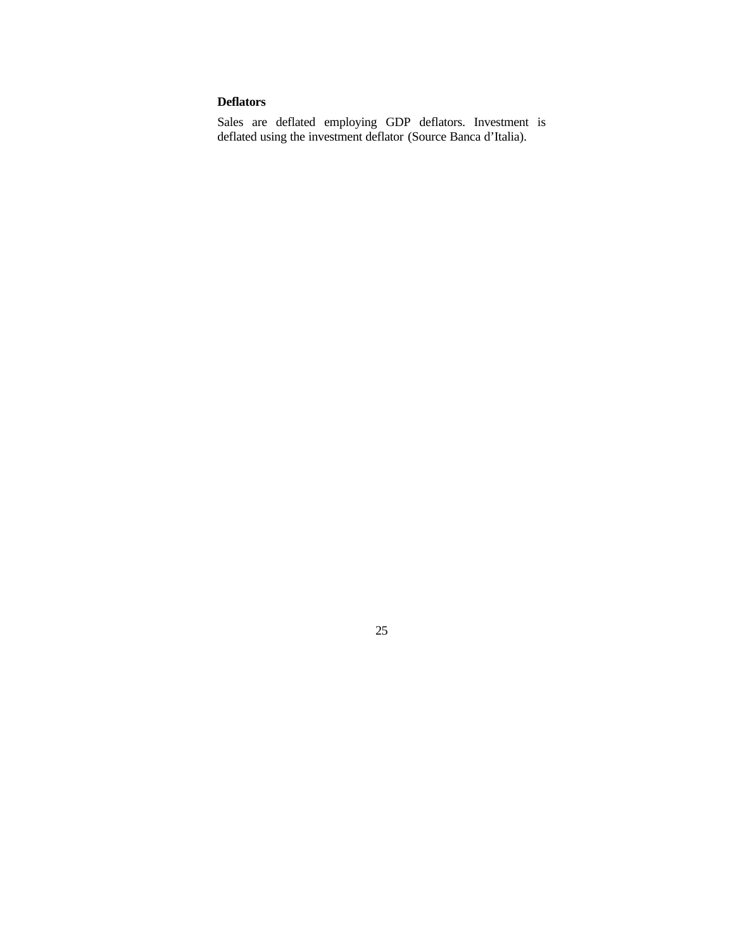# **Deflators**

Sales are deflated employing GDP deflators. Investment is deflated using the investment deflator (Source Banca d'Italia).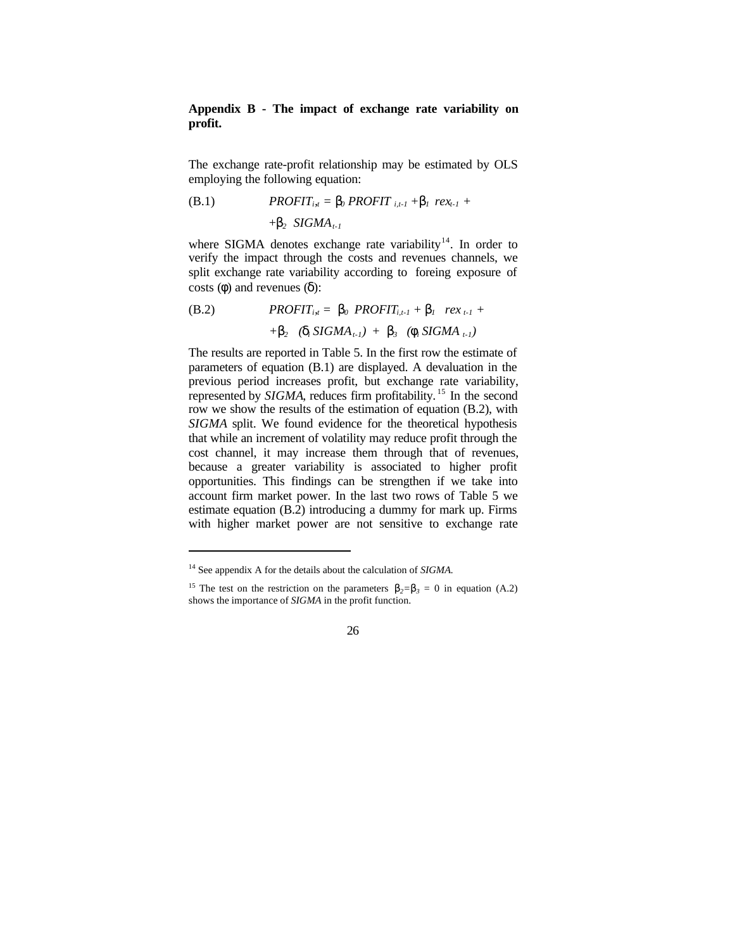# **Appendix B - The impact of exchange rate variability on profit.**

The exchange rate-profit relationship may be estimated by OLS employing the following equation:

(B.1) 
$$
PROFIT_{i,t} = \mathbf{b}_0 \, PROFIT_{i,t-1} + \mathbf{b}_1 \, rex_{t-1} + \mathbf{b}_2 \, SIGMA_{t-1}
$$

where SIGMA denotes exchange rate variability<sup>14</sup>. In order to verify the impact through the costs and revenues channels, we split exchange rate variability according to foreing exposure of costs (*f*) and revenues (*d*):

(B.2) 
$$
PROFIT_{i_{1}t} = \mathbf{b}_0 \; PROFIT_{i_{1}t-1} + \mathbf{b}_1 \; rex_{t-1} ++ \mathbf{b}_2 \; (\mathbf{d}_i \; SIGMA_{t-1}) + \mathbf{b}_3 \; (\mathbf{f}_i \; SIGMA_{t-1})
$$

The results are reported in Table 5. In the first row the estimate of parameters of equation (B.1) are displayed. A devaluation in the previous period increases profit, but exchange rate variability, represented by *SIGMA*, reduces firm profitability.<sup>15</sup> In the second row we show the results of the estimation of equation (B.2), with *SIGMA* split. We found evidence for the theoretical hypothesis that while an increment of volatility may reduce profit through the cost channel, it may increase them through that of revenues, because a greater variability is associated to higher profit opportunities. This findings can be strengthen if we take into account firm market power. In the last two rows of Table 5 we estimate equation (B.2) introducing a dummy for mark up. Firms with higher market power are not sensitive to exchange rate

l

<sup>14</sup> See appendix A for the details about the calculation of *SIGMA.*

<sup>&</sup>lt;sup>15</sup> The test on the restriction on the parameters  $\mathbf{b}_2 = \mathbf{b}_3 = 0$  in equation (A.2) shows the importance of *SIGMA* in the profit function.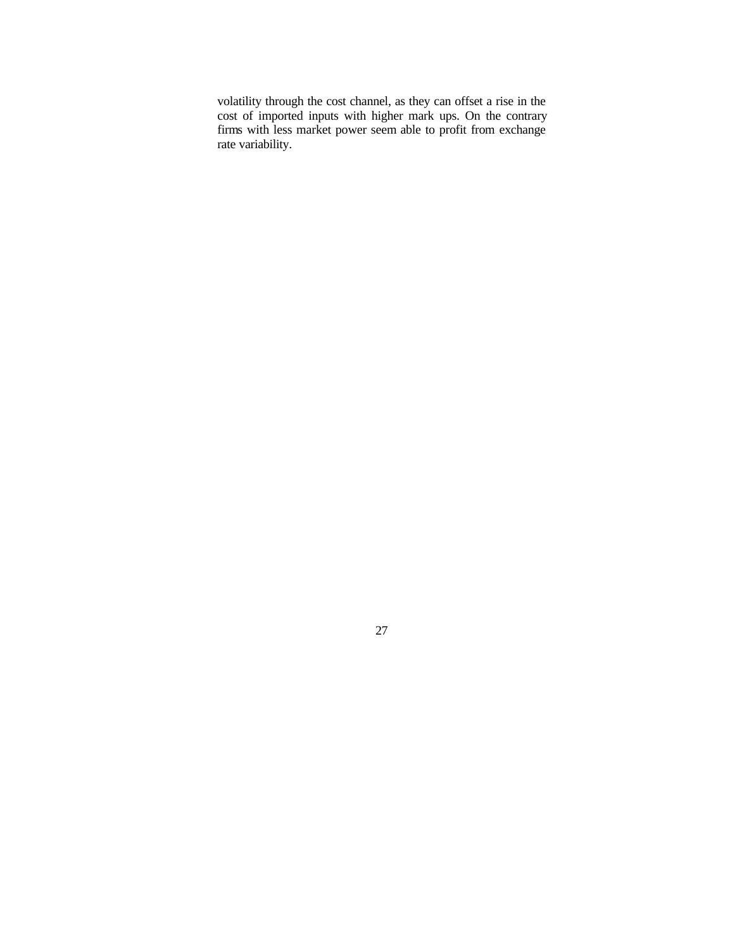volatility through the cost channel, as they can offset a rise in the cost of imported inputs with higher mark ups. On the contrary firms with less market power seem able to profit from exchange rate variability.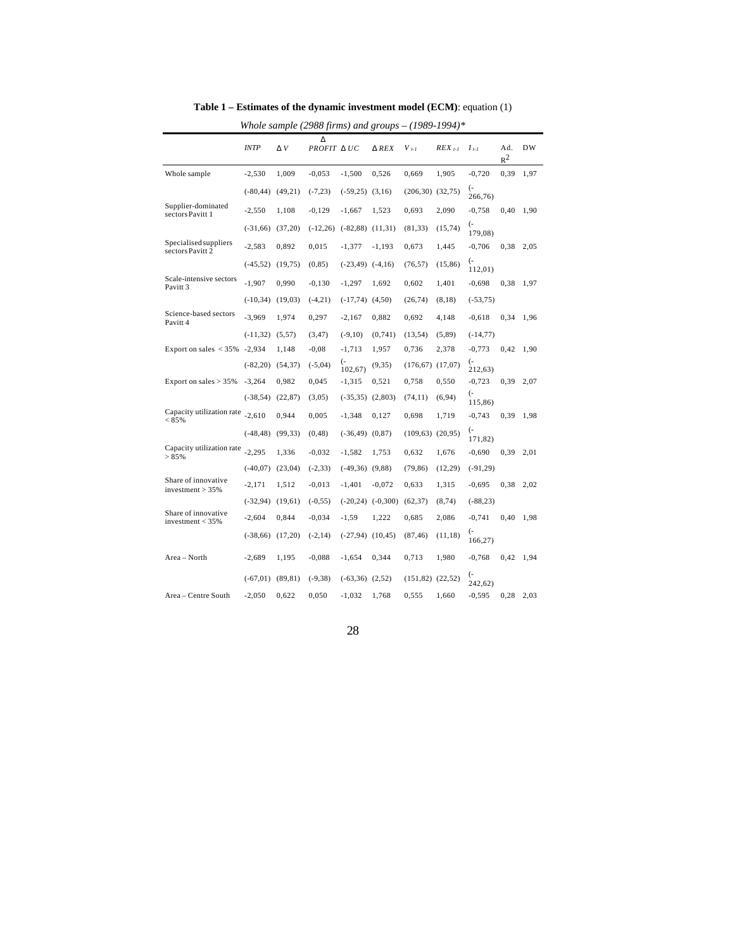|                                                | Whole sample (2988 firms) and groups $- (1989-1994)$ <sup>*</sup> |          |                 |                      |              |                      |             |                                 |              |      |  |  |  |
|------------------------------------------------|-------------------------------------------------------------------|----------|-----------------|----------------------|--------------|----------------------|-------------|---------------------------------|--------------|------|--|--|--|
|                                                | <b>INTP</b>                                                       | D V      | D<br>PROFIT DUC |                      | <b>D</b> REX | $V_{t-1}$            | $REX_{t-1}$ | $I_{t-1}$                       | Ad.<br>$R^2$ | DW   |  |  |  |
| Whole sample                                   | $-2,530$                                                          | 1,009    | $-0,053$        | $-1,500$             | 0,526        | 0,669                | 1,905       | $-0,720$                        | 0.39         | 1,97 |  |  |  |
|                                                | $(-80, 44)$                                                       | (49,21)  | $(-7,23)$       | $(-59,25)$ $(3,16)$  |              | $(206,30)$ $(32,75)$ |             | $\overline{(-)}$<br>266,76)     |              |      |  |  |  |
| Supplier-dominated<br>sectors Pavitt 1         | $-2,550$                                                          | 1,108    | $-0,129$        | $-1,667$             | 1,523        | 0,693                | 2,090       | $-0,758$                        | 0,40         | 1,90 |  |  |  |
|                                                | $(-31,66)$                                                        | (37,20)  | $(-12,26)$      | $(-82, 88)$          | (11,31)      | (81, 33)             | (15, 74)    | <sup>-</sup><br>179,08)         |              |      |  |  |  |
| Specialised suppliers<br>sectors Pavitt 2      | $-2,583$                                                          | 0,892    | 0,015           | $-1,377$             | $-1,193$     | 0,673                | 1,445       | $-0,706$                        | 0,38         | 2,05 |  |  |  |
|                                                | $(-45, 52)$                                                       | (19, 75) | (0, 85)         | $(-23, 49)$          | $(-4,16)$    | (76, 57)             | (15, 86)    | <sup>-</sup><br>112,01)         |              |      |  |  |  |
| Scale-intensive sectors<br>Pavitt <sub>3</sub> | $-1,907$                                                          | 0,990    | $-0,130$        | $-1,297$             | 1,692        | 0,602                | 1,401       | $-0,698$                        | 0,38         | 1,97 |  |  |  |
|                                                | $(-10, 34)$                                                       | (19,03)  | $(-4,21)$       | $(-17,74)$ $(4,50)$  |              | (26,74)              | (8,18)      | $(-53,75)$                      |              |      |  |  |  |
| Science-based sectors<br>Pavitt 4              | $-3,969$                                                          | 1,974    | 0,297           | $-2,167$             | 0,882        | 0,692                | 4,148       | $-0.618$                        | 0,34         | 1,96 |  |  |  |
|                                                | $(-11, 32)$                                                       | (5,57)   | (3, 47)         | $(-9,10)$            | (0, 741)     | (13, 54)             | (5, 89)     | $(-14,77)$                      |              |      |  |  |  |
| Export on sales $<$ 35%                        | $-2,934$                                                          | 1,148    | $-0.08$         | $-1,713$             | 1,957        | 0,736                | 2,378       | $-0,773$                        | 0,42         | 1,90 |  |  |  |
|                                                | $(-82,20)$                                                        | (54, 37) | $(-5,04)$       | (-<br>102,67         | (9, 35)      | (176, 67)            | (17,07)     | $\left( -\right)$<br>212,63)    |              |      |  |  |  |
| Export on sales $> 35\%$                       | $-3,264$                                                          | 0,982    | 0,045           | $-1,315$             | 0,521        | 0,758                | 0,550       | $-0,723$                        | 0,39         | 2,07 |  |  |  |
|                                                | $(-38, 54)$                                                       | (22, 87) | (3,05)          | $(-35, 35)$          | (2,803)      | (74, 11)             | (6,94)      | $\overline{(\cdot)}$<br>115,86) |              |      |  |  |  |
| Capacity utilization rate<br>< 85%             | $-2,610$                                                          | 0,944    | 0,005           | $-1,348$             | 0,127        | 0,698                | 1,719       | $-0,743$                        | 0.39         | 1,98 |  |  |  |
|                                                | $(-48, 48)$                                                       | (99, 33) | (0, 48)         | $(-36, 49)$          | (0, 87)      | (109, 63)            | (20,95)     | $\overline{(-)}$<br>171,82)     |              |      |  |  |  |
| Capacity utilization rate<br>> 85%             | $-2,295$                                                          | 1,336    | $-0,032$        | $-1,582$             | 1,753        | 0,632                | 1,676       | $-0,690$                        | 0.39         | 2,01 |  |  |  |
|                                                | $(-40,07)$                                                        | (23,04)  | $(-2, 33)$      | $(-49,36)$           | (9, 88)      | (79, 86)             | (12,29)     | $(-91, 29)$                     |              |      |  |  |  |
| Share of innovative<br>investment $> 35%$      | $-2,171$                                                          | 1,512    | $-0,013$        | $-1,401$             | $-0,072$     | 0,633                | 1,315       | $-0,695$                        | 0,38         | 2,02 |  |  |  |
|                                                | $(-32,94)$                                                        | (19,61)  | $(-0, 55)$      | $(-20, 24)$          | $(-0,300)$   | (62, 37)             | (8, 74)     | $(-88,23)$                      |              |      |  |  |  |
| Share of innovative<br>investment $<$ 35%      | $-2,604$                                                          | 0,844    | $-0,034$        | $-1,59$              | 1,222        | 0,685                | 2,086       | $-0,741$                        | 0,40         | 1,98 |  |  |  |
|                                                | $(-38,66)$                                                        | (17,20)  | $(-2, 14)$      | $(-27,94)$ $(10,45)$ |              | (87, 46)             | (11, 18)    | <sup>-</sup><br>166,27          |              |      |  |  |  |
| Area - North                                   | $-2,689$                                                          | 1,195    | $-0,088$        | $-1,654$             | 0,344        | 0,713                | 1,980       | $-0,768$                        | 0,42         | 1,94 |  |  |  |
|                                                | $(-67, 01)$                                                       | (89, 81) | $(-9, 38)$      | $(-63,36)$           | (2,52)       | $(151,82)$ $(22,52)$ |             | <sup>-</sup><br>242,62)         |              |      |  |  |  |
| Area - Centre South                            | $-2,050$                                                          | 0,622    | 0,050           | $-1,032$             | 1,768        | 0,555                | 1,660       | $-0,595$                        | 0,28         | 2,03 |  |  |  |

**Table 1 – Estimates of the dynamic investment model (ECM)**: equation (1)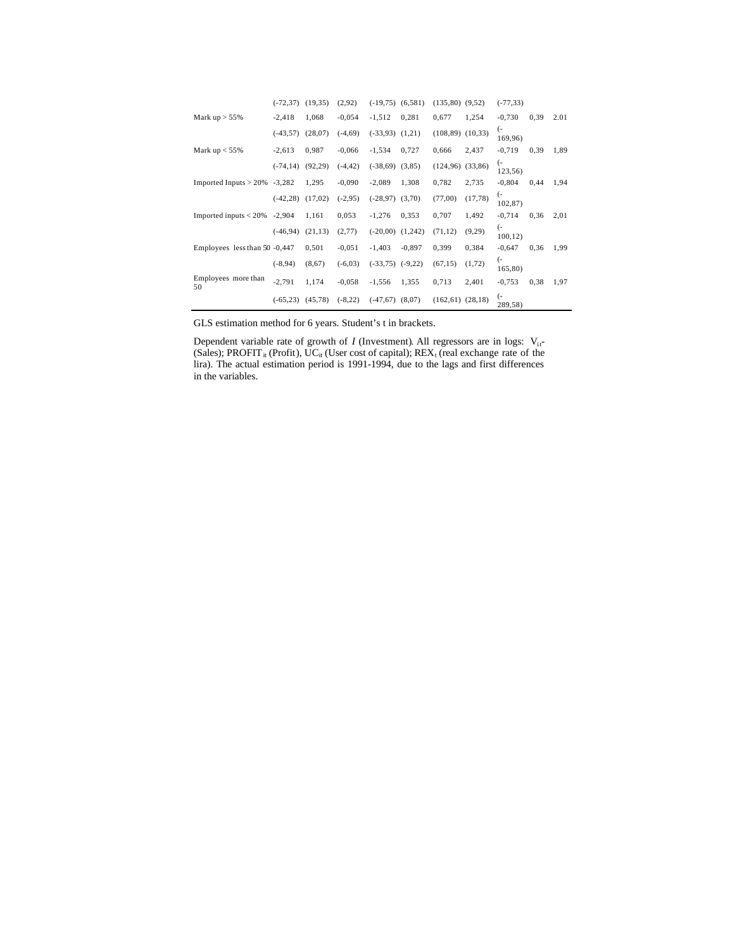|                                 | $(-72, 37)$ | (19,35)  | (2,92)     | $(-19,75)$ $(6,581)$ |          | $(135,80)$ $(9,52)$  |          | $(-77, 33)$                |      |      |
|---------------------------------|-------------|----------|------------|----------------------|----------|----------------------|----------|----------------------------|------|------|
| Mark $up > 55\%$                | $-2,418$    | 1,068    | $-0.054$   | $-1,512$             | 0,281    | 0.677                | 1,254    | $-0,730$                   | 0.39 | 2.01 |
|                                 | $(-43,57)$  | (28,07)  | $(-4,69)$  | $(-33,93)$ $(1,21)$  |          | $(108,89)$ $(10,33)$ |          | <sup>-</sup><br>169,96)    |      |      |
| Mark $up < 55\%$                | $-2,613$    | 0,987    | $-0,066$   | $-1,534$             | 0,727    | 0,666                | 2,437    | $-0,719$                   | 0.39 | 1,89 |
|                                 | $(-74, 14)$ | (92, 29) | $(-4, 42)$ | $(-38,69)$           | (3,85)   | (124, 96)            | (33,86)  | <sup>-</sup><br>123,56)    |      |      |
| Imported Inputs $> 20\%$ -3,282 |             | 1,295    | $-0,090$   | $-2,089$             | 1,308    | 0,782                | 2,735    | $-0,804$                   | 0,44 | 1,94 |
|                                 | $(-42, 28)$ | (17,02)  | $(-2,95)$  | $(-28, 97)$          | (3,70)   | (77,00)              | (17, 78) | (-<br>102,87)              |      |      |
| Imported inputs $< 20\%$ -2,904 |             | 1,161    | 0,053      | $-1,276$             | 0,353    | 0,707                | 1,492    | $-0,714$                   | 0.36 | 2,01 |
|                                 | $(-46,94)$  | (21, 13) | (2,77)     | $(-20,00)$           | (1,242)  | (71, 12)             | (9,29)   | <sup>-</sup> )<br>100, 12) |      |      |
| Employees less than 50 -0,447   |             | 0,501    | $-0,051$   | $-1,403$             | $-0.897$ | 0,399                | 0,384    | $-0,647$                   | 0.36 | 1,99 |
|                                 | $(-8, 94)$  | (8,67)   | $(-6,03)$  | $(-33,75)$ $(-9,22)$ |          | (67, 15)             | (1,72)   | <sup>-</sup><br>165,80)    |      |      |
| Employees more than<br>50       | $-2,791$    | 1,174    | $-0.058$   | $-1,556$             | 1,355    | 0,713                | 2,401    | $-0,753$                   | 0,38 | 1,97 |
|                                 | $(-65, 23)$ | (45, 78) | $(-8,22)$  | $(-47,67)$           | (8,07)   | $(162,61)$ $(28,18)$ |          | <sup>-</sup><br>289,58)    |      |      |

GLS estimation method for 6 years. Student's t in brackets.

Dependent variable rate of growth of  $I$  (Investment). All regressors are in logs:  $V_{it}$ -(Sales); PROFIT<sub>it</sub> (Profit), UC<sub>it</sub> (User cost of capital);  $REX_t$  (real exchange rate of the lira). The actual estimation period is 1991-1994, due to the lags and first differences in the variables.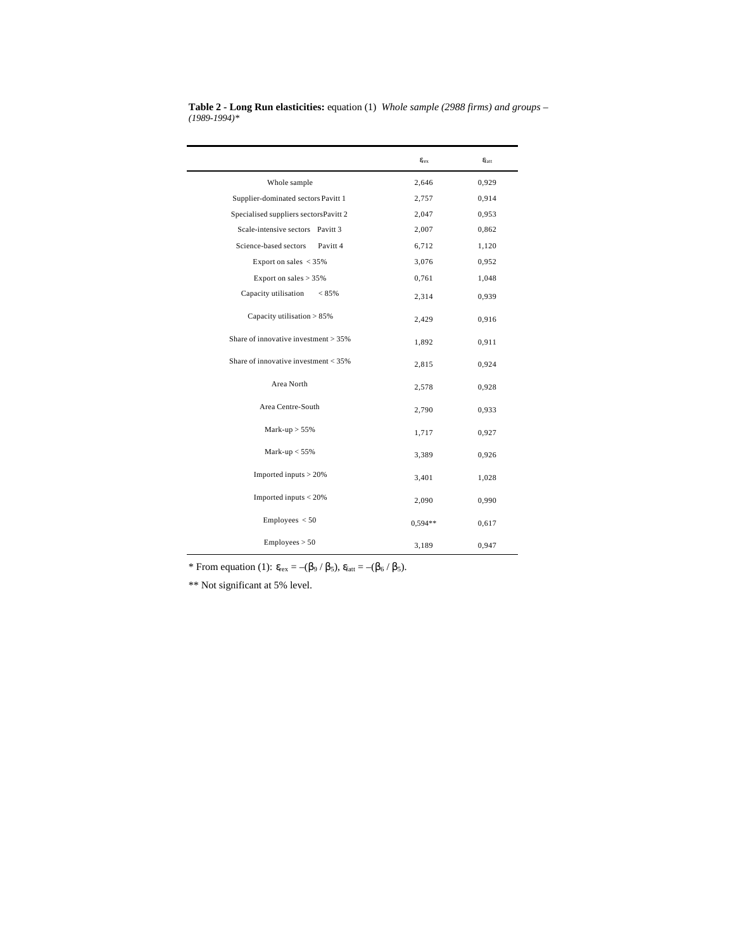|                                              | $\epsilon_{\rm{rex}}$ | $\varepsilon_{\rm{fat}}$ |
|----------------------------------------------|-----------------------|--------------------------|
| Whole sample                                 | 2,646                 | 0,929                    |
| Supplier-dominated sectors Pavitt 1          | 2,757                 | 0,914                    |
| Specialised suppliers sectorsPavitt 2        | 2,047                 | 0,953                    |
| Scale-intensive sectors Pavitt 3             | 2,007                 | 0,862                    |
| Science-based sectors<br>Pavitt <sub>4</sub> | 6,712                 | 1,120                    |
| Export on sales $<$ 35%                      | 3,076                 | 0,952                    |
| Export on sales $> 35\%$                     | 0,761                 | 1,048                    |
| Capacity utilisation<br>$< 85\%$             | 2,314                 | 0,939                    |
| Capacity utilisation > 85%                   | 2,429                 | 0,916                    |
| Share of innovative investment $> 35\%$      | 1,892                 | 0,911                    |
| Share of innovative investment $<$ 35%       | 2,815                 | 0,924                    |
| Area North                                   | 2,578                 | 0,928                    |
| Area Centre-South                            | 2,790                 | 0,933                    |
| Mark-up $> 55\%$                             | 1,717                 | 0,927                    |
| Mark-up $< 55\%$                             | 3,389                 | 0,926                    |
| Imported inputs $> 20\%$                     | 3,401                 | 1,028                    |
| Imported inputs $<$ 20%                      | 2,090                 | 0,990                    |
| Employes < 50                                | $0.594**$             | 0,617                    |
| Employes > 50                                | 3,189                 | 0,947                    |

**Table 2 - Long Run elasticities:** equation (1) *Whole sample (2988 firms) and groups – (1989-1994)\**

\* From equation (1):  $\varepsilon_{\text{rex}} = -(\beta_9 / \beta_5)$ ,  $\varepsilon_{\text{fatt}} = -(\beta_6 / \beta_5)$ .

\*\* Not significant at 5% level.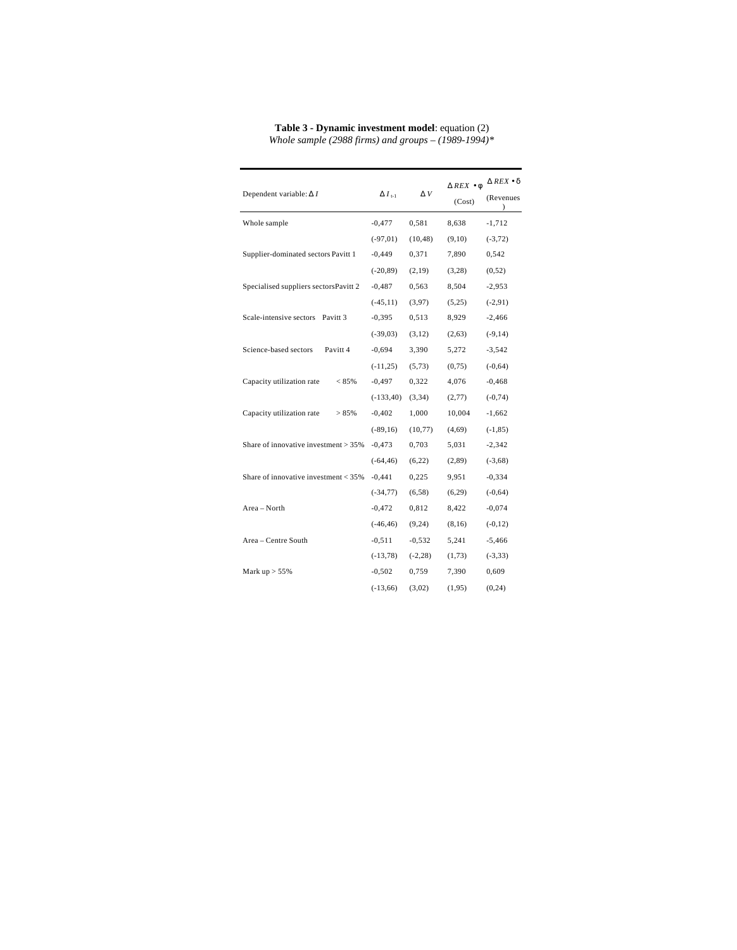| Dependent variable: $\Delta I$                 | $\Delta I_{t-1}$ | $\Delta V$ | $\triangle$ REX $\bullet$ $\phi$<br>(Cost) | $\triangle$ REX $\bullet$ $\delta$<br>(Revenues |
|------------------------------------------------|------------------|------------|--------------------------------------------|-------------------------------------------------|
| Whole sample                                   | $-0,477$         | 0,581      | 8,638                                      | $-1,712$                                        |
|                                                | $(-97, 01)$      | (10, 48)   | (9,10)                                     | $(-3, 72)$                                      |
| Supplier-dominated sectors Pavitt 1            | $-0,449$         | 0,371      | 7,890                                      | 0,542                                           |
|                                                | $(-20, 89)$      | (2,19)     | (3,28)                                     | (0,52)                                          |
| Specialised suppliers sectorsPavitt 2          | $-0,487$         | 0,563      | 8,504                                      | $-2,953$                                        |
|                                                | $(-45, 11)$      | (3,97)     | (5,25)                                     | $(-2, 91)$                                      |
| Scale-intensive sectors<br>Pavitt <sub>3</sub> | $-0,395$         | 0,513      | 8,929                                      | $-2,466$                                        |
|                                                | $(-39,03)$       | (3,12)     | (2,63)                                     | $(-9, 14)$                                      |
| Science-based sectors<br>Pavitt 4              | $-0,694$         | 3,390      | 5,272                                      | $-3,542$                                        |
|                                                | $(-11,25)$       | (5,73)     | (0,75)                                     | $(-0, 64)$                                      |
| Capacity utilization rate<br>< 85%             | $-0,497$         | 0,322      | 4,076                                      | $-0,468$                                        |
|                                                | $(-133,40)$      | (3, 34)    | (2,77)                                     | $(-0, 74)$                                      |
| Capacity utilization rate<br>> 85%             | $-0,402$         | 1,000      | 10,004                                     | $-1,662$                                        |
|                                                | $(-89,16)$       | (10, 77)   | (4,69)                                     | $(-1, 85)$                                      |
| Share of innovative investment $>35\%$         | $-0,473$         | 0,703      | 5,031                                      | $-2,342$                                        |
|                                                | $(-64, 46)$      | (6,22)     | (2,89)                                     | $(-3,68)$                                       |
| Share of innovative investment $<$ 35%         | $-0,441$         | 0,225      | 9,951                                      | $-0,334$                                        |
|                                                | $(-34, 77)$      | (6, 58)    | (6,29)                                     | $(-0, 64)$                                      |
| Area - North                                   | $-0,472$         | 0,812      | 8,422                                      | $-0,074$                                        |
|                                                | $(-46, 46)$      | (9,24)     | (8,16)                                     | $(-0, 12)$                                      |
| Area - Centre South                            | $-0,511$         | $-0,532$   | 5,241                                      | $-5,466$                                        |
|                                                | $(-13, 78)$      | $(-2, 28)$ | (1,73)                                     | $(-3, 33)$                                      |
| Mark $up > 55\%$                               | $-0,502$         | 0,759      | 7,390                                      | 0,609                                           |
|                                                | $(-13,66)$       | (3,02)     | (1,95)                                     | (0, 24)                                         |

**Table 3 - Dynamic investment model**: equation (2) *Whole sample (2988 firms) and groups – (1989-1994)\**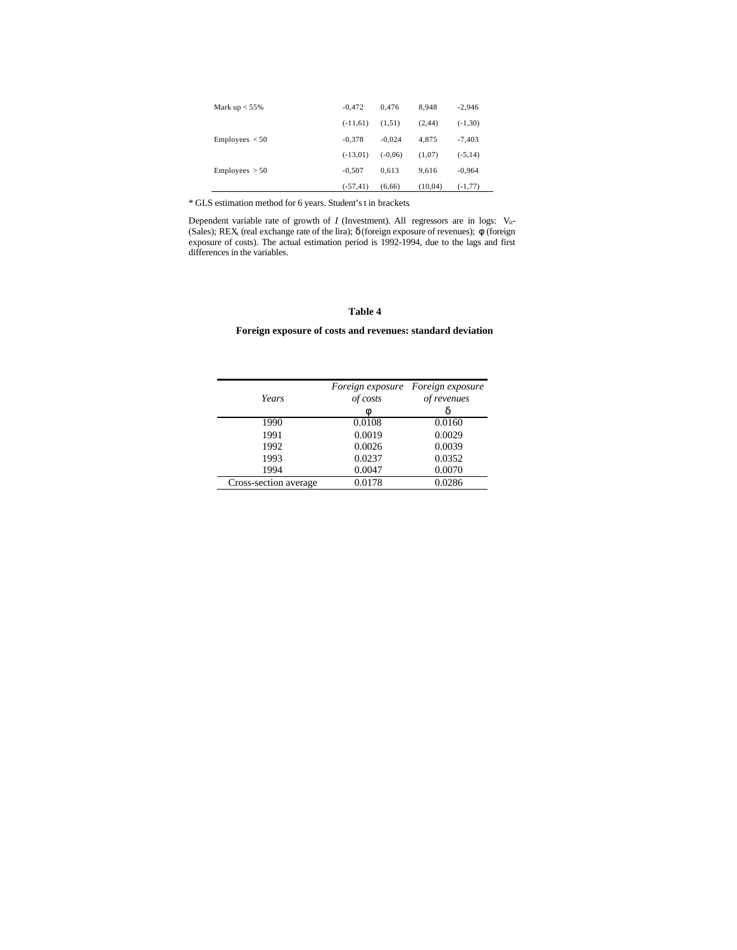| Mark $up < 55\%$ | $-0.472$    | 0.476     | 8.948   | $-2,946$   |
|------------------|-------------|-----------|---------|------------|
|                  | $(-11,61)$  | (1,51)    | (2, 44) | $(-1,30)$  |
| Emploves < 50    | $-0.378$    | $-0.024$  | 4.875   | $-7,403$   |
|                  | $(-13,01)$  | $(-0.06)$ | (1,07)  | $(-5, 14)$ |
| Emploves > 50    | $-0.507$    | 0.613     | 9.616   | $-0,964$   |
|                  | $(-57, 41)$ | (6,66)    | (10,04) | $(-1, 77)$ |

\* GLS estimation method for 6 years. Student's t in brackets.

Dependent variable rate of growth of *I* (Investment). All regressors are in logs:  $V_{it}$ -(Sales); REX<sub>t</sub> (real exchange rate of the lira);  $d$  (foreign exposure of revenues);  $f$  (foreign exposure of costs). The actual estimation period is 1992-1994, due to the lags and first differences in the variables.

## **Table 4**

# **Foreign exposure of costs and revenues: standard deviation**

| Years                 | of costs<br>f | Foreign exposure Foreign exposure<br>of revenues |
|-----------------------|---------------|--------------------------------------------------|
| 1990                  | 0.0108        | 0.0160                                           |
| 1991                  | 0.0019        | 0.0029                                           |
| 1992                  | 0.0026        | 0.0039                                           |
| 1993                  | 0.0237        | 0.0352                                           |
| 1994                  | 0.0047        | 0.0070                                           |
| Cross-section average | 0.0178        | 0.0286                                           |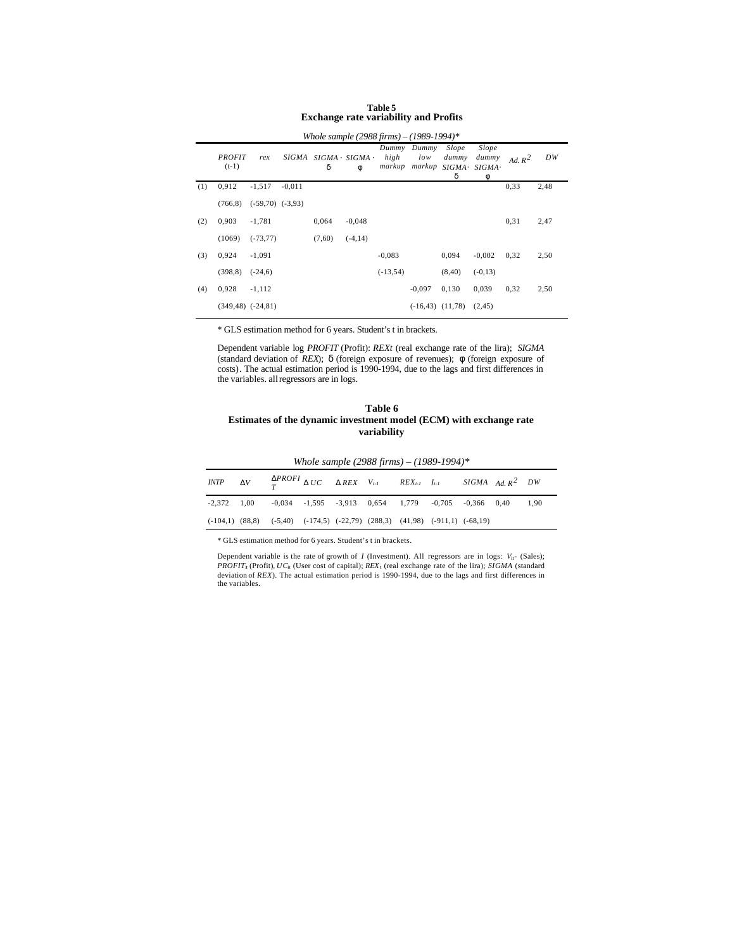|     | Whole sample (2988 firms) – (1989-1994)* |                      |              |        |                                  |                         |                        |                     |                                      |           |      |
|-----|------------------------------------------|----------------------|--------------|--------|----------------------------------|-------------------------|------------------------|---------------------|--------------------------------------|-----------|------|
|     | <b>PROFIT</b><br>$(t-1)$                 | rex                  | <b>SIGMA</b> | d      | $SIGMA \times SIGMA \times$<br>f | Dummy<br>high<br>markup | Dummy<br>low<br>markup | Slope<br>dummy<br>d | Slope<br>dummy<br>SIGMA× SIGMA×<br>f | Ad. $R^2$ | DW   |
| (1) | 0,912                                    | $-1,517$             | $-0.011$     |        |                                  |                         |                        |                     |                                      | 0.33      | 2,48 |
|     | (766, 8)                                 | $(-59,70)$ $(-3,93)$ |              |        |                                  |                         |                        |                     |                                      |           |      |
| (2) | 0,903                                    | $-1,781$             |              | 0,064  | $-0,048$                         |                         |                        |                     |                                      | 0.31      | 2,47 |
|     | (1069)                                   | $(-73, 77)$          |              | (7,60) | $(-4, 14)$                       |                         |                        |                     |                                      |           |      |
| (3) | 0,924                                    | $-1,091$             |              |        |                                  | $-0.083$                |                        | 0,094               | $-0,002$                             | 0,32      | 2,50 |
|     | (398,8)                                  | $(-24,6)$            |              |        |                                  | $(-13, 54)$             |                        | (8, 40)             | $(-0,13)$                            |           |      |
| (4) | 0,928                                    | $-1,112$             |              |        |                                  |                         | $-0,097$               | 0,130               | 0,039                                | 0.32      | 2,50 |
|     | $(349, 48)$ $(-24, 81)$                  |                      |              |        |                                  |                         | $(-16, 43)$ $(11, 78)$ |                     | (2, 45)                              |           |      |

# **Table 5 Exchange rate variability and Profits**

\* GLS estimation method for 6 years. Student's t in brackets.

Dependent variable log *PROFIT* (Profit): *REXt* (real exchange rate of the lira); *SIGMA* (standard deviation of *REX*); *d* (foreign exposure of revenues); *f* (foreign exposure of costs). The actual estimation period is 1990-1994, due to the lags and first differences in the variables. all regressors are in logs.

#### **Table 6 Estimates of the dynamic investment model (ECM) with exchange rate variability**

|  |  |  | INTP $\mathbf{D}V$ $\mathbf{D}PROFI$ $\mathbf{D}UC$ $\mathbf{D}REX$ $V_{t-1}$ $REX_{t-1}$ $I_{t-1}$ SIGMA $Ad, R^2$ $DW$ |  |      |
|--|--|--|--------------------------------------------------------------------------------------------------------------------------|--|------|
|  |  |  | $-2,372$ 1,00 $-0,034$ $-1,595$ $-3,913$ 0,654 1,779 $-0,705$ $-0,366$ 0,40                                              |  | 1,90 |
|  |  |  | $(-104,1)$ $(88,8)$ $(-5,40)$ $(-174,5)$ $(-22,79)$ $(288,3)$ $(41,98)$ $(-911,1)$ $(-68,19)$                            |  |      |

*Whole sample (2988 firms) – (1989-1994)\**

\* GLS estimation method for 6 years. Student's t in brackets.

Dependent variable is the rate of growth of *I* (Investment). All regressors are in logs:  $V_{it^-}$  (Sales); *PROFIT*<sub>i</sub> (Profit), *UC*<sub>it</sub> (User cost of capital); *REX*<sub>1</sub> (real exchange rate of the lira); *SIGMA* (standard deviation of *REX*). The actual estimation period is 1990-1994, due to the lags and first differences in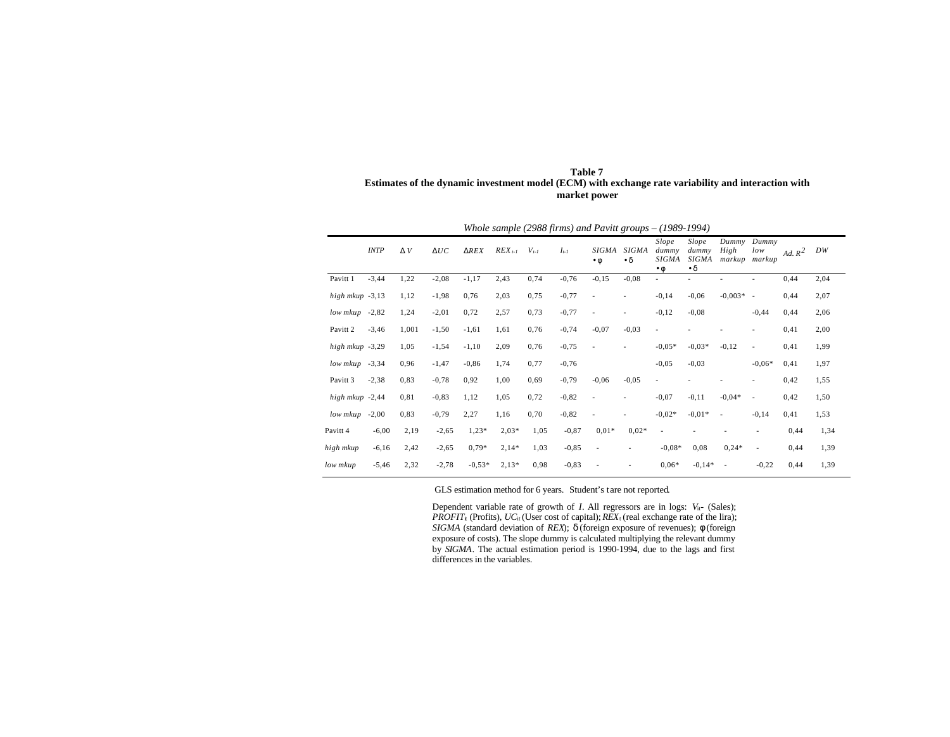| Table 7                                                                                             |
|-----------------------------------------------------------------------------------------------------|
| Estimates of the dynamic investment model (ECM) with exchange rate variability and interaction with |
| market power                                                                                        |

|                     | Whole sample (2988 firms) and Pavitt groups $-(1989-1994)$ |       |         |             |             |           |           |                           |                           |                                             |                                             |                                |                          |           |      |
|---------------------|------------------------------------------------------------|-------|---------|-------------|-------------|-----------|-----------|---------------------------|---------------------------|---------------------------------------------|---------------------------------------------|--------------------------------|--------------------------|-----------|------|
|                     | <b>INTP</b>                                                | D V   | DUC     | <b>DREX</b> | $REX_{t-1}$ | $V_{t-1}$ | $I_{t-1}$ | <b>SIGMA</b><br>$\cdot f$ | <b>SIGMA</b><br>$\cdot$ d | Slope<br>dummy<br><b>SIGMA</b><br>$\cdot f$ | Slope<br>dummy<br><b>SIGMA</b><br>$\cdot$ d | Dummv<br>High<br>markup markup | Dummv<br>low             | Ad. $R^2$ | DW   |
| Pavitt 1            | $-3,44$                                                    | 1,22  | $-2,08$ | $-1,17$     | 2,43        | 0,74      | $-0,76$   | $-0,15$                   | $-0,08$                   | ٠                                           |                                             |                                |                          | 0,44      | 2,04 |
| high mkup -3,13     |                                                            | 1,12  | $-1,98$ | 0,76        | 2,03        | 0,75      | $-0,77$   | ٠                         |                           | $-0,14$                                     | $-0,06$                                     | $-0.003*$                      | $\sim$                   | 0,44      | 2,07 |
| low mkup            | $-2,82$                                                    | 1,24  | $-2,01$ | 0,72        | 2,57        | 0,73      | $-0,77$   | ٠                         |                           | $-0,12$                                     | $-0,08$                                     |                                | $-0,44$                  | 0,44      | 2,06 |
| Pavitt <sub>2</sub> | $-3,46$                                                    | 1,001 | $-1,50$ | $-1,61$     | 1,61        | 0,76      | $-0,74$   | $-0,07$                   | $-0,03$                   | $\overline{\phantom{a}}$                    |                                             |                                | ä,                       | 0,41      | 2,00 |
| high mkup -3,29     |                                                            | 1,05  | $-1,54$ | $-1,10$     | 2,09        | 0,76      | $-0,75$   |                           |                           | $-0.05*$                                    | $-0.03*$                                    | $-0,12$                        | ٠                        | 0,41      | 1,99 |
| low mkup            | $-3,34$                                                    | 0,96  | $-1,47$ | $-0,86$     | 1,74        | 0,77      | $-0,76$   |                           |                           | $-0.05$                                     | $-0,03$                                     |                                | $-0.06*$                 | 0,41      | 1,97 |
| Pavitt <sub>3</sub> | $-2,38$                                                    | 0,83  | $-0,78$ | 0,92        | 1,00        | 0,69      | $-0,79$   | $-0,06$                   | $-0,05$                   | ٠                                           |                                             |                                | -                        | 0,42      | 1,55 |
| high mkup -2,44     |                                                            | 0,81  | $-0,83$ | 1,12        | 1,05        | 0,72      | $-0,82$   | $\overline{a}$            |                           | $-0,07$                                     | $-0,11$                                     | $-0,04*$                       | $\overline{\phantom{a}}$ | 0,42      | 1,50 |
| low mkup            | $-2,00$                                                    | 0,83  | $-0,79$ | 2,27        | 1,16        | 0,70      | $-0,82$   | $\overline{a}$            |                           | $-0.02*$                                    | $-0.01*$                                    | $\sim$                         | $-0,14$                  | 0,41      | 1,53 |
| Pavitt 4            | $-6,00$                                                    | 2,19  | $-2,65$ | $1,23*$     | $2,03*$     | 1,05      | $-0,87$   | $0.01*$                   | $0.02*$                   | $\sim$                                      |                                             |                                |                          | 0,44      | 1,34 |
| high mkup           | $-6,16$                                                    | 2,42  | $-2,65$ | $0.79*$     | $2,14*$     | 1,03      | $-0,85$   | ٠                         |                           | $-0.08*$                                    | 0,08                                        | $0,24*$                        | ٠                        | 0,44      | 1,39 |
| low mkup            | $-5,46$                                                    | 2,32  | $-2,78$ | $-0.53*$    | $2,13*$     | 0,98      | $-0,83$   |                           |                           | $0.06*$                                     | $-0,14*$                                    | ×,                             | $-0,22$                  | 0,44      | 1,39 |

#### GLS estimation method for 6 years. Student's tare not reported.

Dependent variable rate of growth of  $I$ . All regressors are in logs:  $V_{it}$ - (Sales); *PROFIT<sub>i</sub>* (Profits),  $UC_{it}$  (User cost of capital);  $REX_{t}$  (real exchange rate of the lira); *SIGMA* (standard deviation of *REX*); *d* (foreign exposure of revenues); *f* (foreign exposure of costs). The slope dummy is calculated multiplying the relevant dummy by *SIGMA*. The actual estimation period is 1990-1994, due to the lags and first differences in the variables.